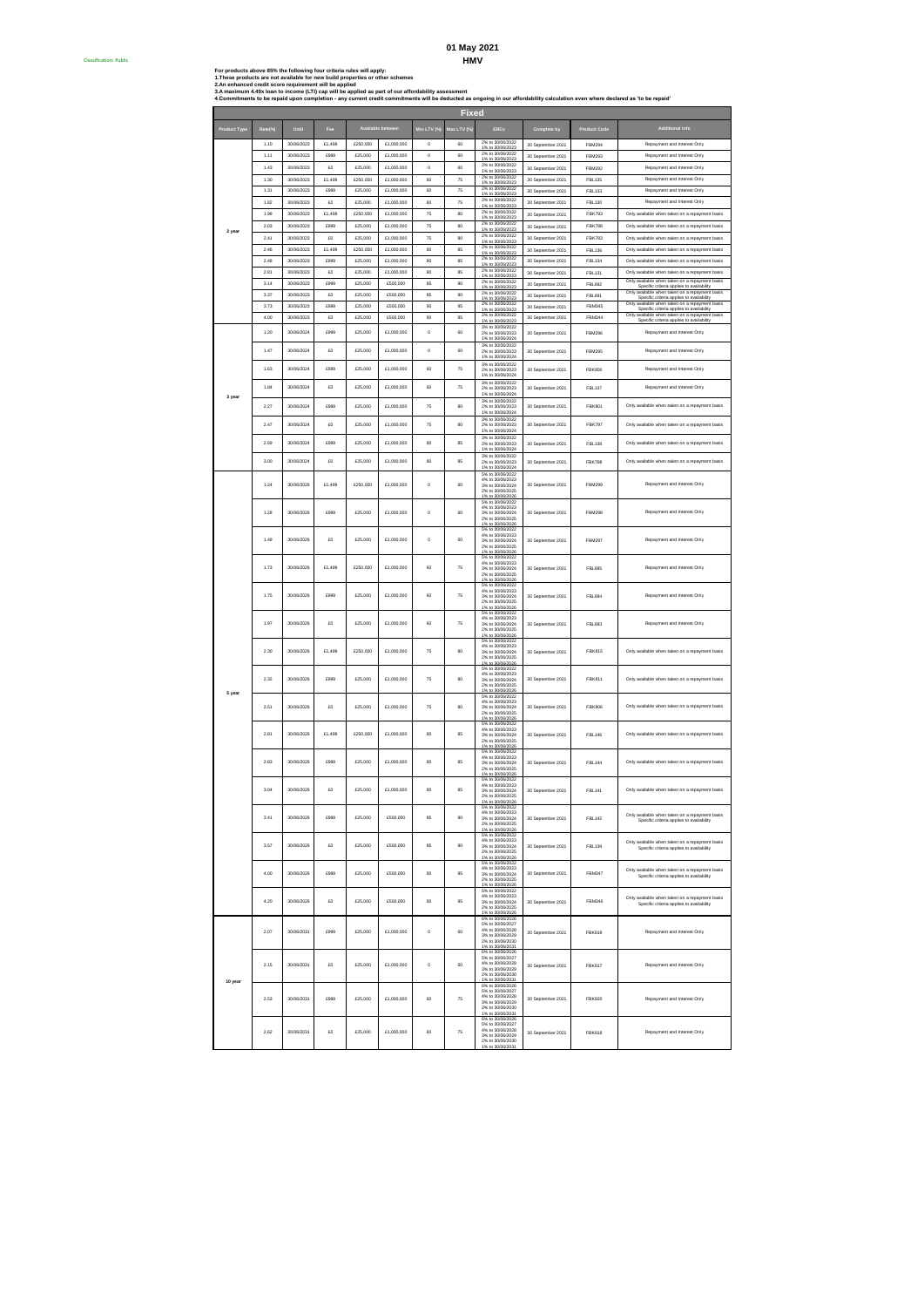### **HMV 01 May 2021**

Classification: Public #

For products above 85% the following four criteria rules will apply:<br>1.These products are not available for new build properties or other schemes<br>3.Am eximum 4.49: Ioan to income (LTI) cap will be applied as part of our af

|                     |              |                          |                |                     |                          |             | <b>Fixed</b> |                                                                                                                      |                                        |                                |                                                                                                                                                       |
|---------------------|--------------|--------------------------|----------------|---------------------|--------------------------|-------------|--------------|----------------------------------------------------------------------------------------------------------------------|----------------------------------------|--------------------------------|-------------------------------------------------------------------------------------------------------------------------------------------------------|
| <b>Product Type</b> |              |                          |                |                     |                          | Min LTV (%  | Max LTV (%   | <b>ERCs</b>                                                                                                          | ete by                                 | <b>Product Code</b>            | .<br>Additional Info                                                                                                                                  |
|                     | 1.10         | 30/06/2023               | £1,499         | £250,000            | £1,000,000               | $\circ$     | 60           | 2% to 30/06/2022                                                                                                     | 30 September 2021                      | FBM294                         | Repayment and Interest Only                                                                                                                           |
|                     | 1.11         | 30/06/2023               | £999           | £25,000             | £1,000,000               | $\circ$     | 60           | 1% to 30/06/2023<br>2% to 30/06/2022<br>1% to 30/06/2023                                                             | 30 September 2021                      | FBM293                         | Repayment and Interest Only                                                                                                                           |
|                     | 1.43         | 30/06/2023               | £O             | £25,000             | £1,000,000               | $\mathbb O$ | 60           | 2% to 30/06/2022<br>1% to 30/06/2023                                                                                 | 30 September 2021                      | FBM292                         | Repayment and Interest Only                                                                                                                           |
|                     | 1.30         | 30/06/2023               | £1,499         | £250,000            | £1,000,000               | 60          | ${\bf 75}$   | 2% to 30/06/2022<br>1% to 30/06/2023                                                                                 | 30 September 2021                      | <b>FBL135</b>                  | Repayment and Interest Only                                                                                                                           |
|                     | 1.31         | 30/06/2023               | £999           | £25,000             | £1,000,000               | 60          | 75           | 2% to 30/06/2022<br>1% to 30/06/2023<br>2% to 30/06/2022                                                             | 30 September 2021                      | FBL133                         | Repayment and Interest Only                                                                                                                           |
|                     | 1.82         | 30/06/2023               | £0             | £25,000             | £1,000,000               | 60          | 75           | 1% to 30/06/2023<br>2% to 30/06/2022                                                                                 | 30 September 2021                      | FBL130                         | Repayment and Interest Only                                                                                                                           |
|                     | 1.99         | 30/06/2023<br>30/06/2023 | £1,499<br>£999 | £250,000<br>£25,000 | £1,000,000               | 75          | 80           | 1% to 30/06/2023<br>2% to 30/06/2022                                                                                 | 30 September 2021                      | <b>FBK793</b><br><b>FBK788</b> | Only available when taken on a repayment basis                                                                                                        |
|                     | 2.03<br>2.41 | 30/06/2023               | £0             | £25,000             | £1,000,000<br>£1,000,000 | 75<br>75    | 80<br>80     | 1% to 30/06/2023<br>2% to 30/06/2022                                                                                 | 30 September 2021<br>30 September 2021 | <b>FBK783</b>                  | Only available when taken on a repayment basis<br>Only available when taken on a repayment basis                                                      |
|                     | 2.46         | 30/06/2023               | £1,499         | £250,000            | £1,000,000               | 80          | 85           | 1% to 30/06/2023<br>2% to 30/06/2022                                                                                 | 30 September 2021                      | <b>FBL136</b>                  | Only available when taken on a repayment basis                                                                                                        |
|                     | 2.48         | 30/06/2023               | £999           | £25,000             | £1,000,000               | 80          | 85           | 1% to 30/06/2023<br>2% to 30/06/2022<br>1% to 30/06/2023                                                             | 30 September 2021                      | <b>FBL134</b>                  | Only available when taken on a repayment basis                                                                                                        |
|                     | 2.81         | 30/06/2023               | £O             | £25,000             | £1,000,000               | 80          | 85           | 2% to 30/06/2022<br>1% to 30/06/2023                                                                                 | 30 September 2021                      | FBL131                         | Only available when taken on a repayment basis                                                                                                        |
|                     | 3.14         | 30/06/2023               | £999           | £25,000             | £500,000                 | 85          | 90           | 2% to 30/06/2022<br>1% to 30/06/2023<br>2% to 30/06/2022                                                             | 30 September 2021                      | FBL692                         | Only available when taken on a repayment basis<br>pay<br>milability<br>Specific criteria applies to<br>Only available when taken on a repayment basis |
|                     | 3.37         | 30/06/2023<br>30/06/2023 | £0<br>£999     | £25,000<br>£25,000  | £500.000<br>£500,000     | 85          | 90           | 1% to 30/06/2023<br>2% to 30/06/2022                                                                                 | 30 September 2021                      | FBI 691<br><b>FBM345</b>       | Specific criteria applies to availability<br>Only ava<br>able when taken on a repayment                                                               |
|                     | 3.73<br>4.00 | 30/06/2023               | £O             | £25,000             | £500,000                 | 90<br>90    | 95<br>95     | 1% to 30/06/2023<br>2% to 30/06/2022                                                                                 | 30 September 2021<br>30 September 2021 | <b>FBM344</b>                  | Specific criteria applies to availability<br>available when taken on a repayment<br>: Only                                                            |
|                     | 1.20         | 30/06/2024               | £999           | £25,000             | £1,000,000               | $\circ$     | 60           | 1% to 30/06/2022<br>3% to 30/06/2022<br>2% to 30/06/2023                                                             |                                        | FBM296                         | Specific criteria applies to availability<br>Repayment and Interest Only                                                                              |
|                     |              |                          |                |                     |                          |             |              | 1% to 30/06/2024<br>3% to 30/06/2022                                                                                 | 30 September 2021                      |                                |                                                                                                                                                       |
|                     | 1.47         | 30/06/2024               | £0             | £25,000             | £1,000,000               | $\circ$     | 60           | 2% to 30/06/2023<br>1% to 30/06/2024<br>3% to 30/06/2022                                                             | 30 September 2021                      | <b>FBM295</b>                  | Repayment and Interest Only                                                                                                                           |
|                     | 1.63         | 30/06/2024               | £999           | £25,000             | £1,000,000               | 60          | 75           | 2% to 30/06/2023<br>1% to 30/06/2024<br>3% to 30/06/2022                                                             | 30 September 2021                      | <b>FBK800</b>                  | Repayment and Interest Only                                                                                                                           |
| 3 year              | 1.84         | 30/06/2024               | £0             | £25,000             | £1,000,000               | 60          | 75           | 2% to 30/06/2023<br>1% to 30/06/2024<br>3% to 30/06/2022                                                             | 30 September 2021                      | <b>FBL137</b>                  | Repayment and Interest Only<br>Only available when taken on a repayment basis                                                                         |
|                     | 2.27<br>2.47 | 30/06/2024<br>30/06/2024 | £999<br>£O     | £25,000<br>£25,000  | £1,000,000<br>£1,000,000 | 75<br>75    | 80<br>80     | 2% to 30/06/2023<br>1% to 30/06/2024<br>3% to 30/06/2022<br>2% to 30/06/2023                                         | 30 September 2021<br>30 September 2021 | <b>FBK801</b><br><b>FBK797</b> | Only available when taken on a repayment basis                                                                                                        |
|                     | 2.69         | 30/06/2024               | £999           | £25,000             | £1,000,000               | 80          | 85           | 1% to 30/06/2024<br>3% to 30/06/2022<br>2% to 30/06/2023                                                             | 30 September 2021                      | <b>FBL138</b>                  | Only available when taken on a repayment basis                                                                                                        |
|                     |              |                          |                |                     |                          |             |              | 1% to 30/06/2024<br>3% to 30/06/2022                                                                                 |                                        |                                |                                                                                                                                                       |
|                     | 3.00         | 30/06/2024               | £O             | £25,000             | £1,000,000               | 80          | 85           | 2% to 30/06/2023<br>1% to 30/06/2024                                                                                 | 30 September 2021                      | <b>FBK798</b>                  | Only available when taken on a repayment basis                                                                                                        |
|                     | 1.24         | 30/06/2026               | £1,499         | £250,000            | £1,000,000               | $\circ$     | 60           | 5% to 30/06/2022<br>4% to 30/06/2023<br>3% to 30/06/2024<br>2% to 30/06/2025<br>% to 30/06/2026                      | 30 September 2021                      | <b>FBM299</b>                  | Repayment and Interest Only                                                                                                                           |
|                     | 1.28         | 30/06/2026               | £999           | £25,000             | £1,000,000               | $\circ$     | 60           | 5% to 30/06/2022<br>4% to 30/06/2023<br>3% to 30/06/2024<br>2% to 30/06/2025<br>% to 30/06/2026                      | 30 September 2021                      | <b>FBM298</b>                  | Repayment and Interest Only                                                                                                                           |
|                     | 1.49         | 30/06/2026               | £O             | £25,000             | £1,000,000               | $\circ$     | 60           | 5% to 30/06/2022<br>4% to 30/06/2023<br>3% to 30/06/2024<br>2% to 30/06/2025<br>1% to 30/06/202                      | 30 September 2021                      | <b>FBM297</b>                  | Repayment and Interest Only                                                                                                                           |
|                     | 1.73         | 30/06/2026               | £1,499         | £250,000            | £1,000,000               | 60          | 75           | 5% to 30/06/2022<br>4% to 30/06/2023<br>3% to 30/06/2024<br>2% to 30/06/2025<br>1% to 30/06/2026                     | 30 September 2021                      | <b>FBL695</b>                  | Repayment and Interest Only                                                                                                                           |
|                     | 1.75         | 30/06/2026               | £999           | £25,000             | £1,000,000               | 60          | 75           | 5% to 30/06/2022<br>4% to 30/06/2023<br>3% to 30/06/2024<br>2% to 30/06/2025<br>1% to 30/06/2026                     | 30 September 2021                      | <b>FBL694</b>                  | Repayment and Interest Only                                                                                                                           |
|                     | 1.97         | 30/06/2026               | £O             | £25,000             | £1,000,000               | 60          | 75           | 5% to 30/06/2022<br>4% to 30/06/2023<br>3% to 30/06/2024<br>2% to 30/06/2025<br>1% to 30/06/2026                     | 30 September 2021                      | FBL693                         | Repayment and Interest Only                                                                                                                           |
|                     | 2.30         | 30/06/2026               | £1,499         | £250,000            | £1,000,000               | 75          | 80           | 5% to 30/06/2022<br>4% to 30/06/2023<br>3% to 30/06/2024<br>2% to 30/06/2025<br>1% to 30/06/2026                     | 30 September 2021                      | <b>FBK815</b>                  | Only available when taken on a repayment basis                                                                                                        |
|                     | 2.32         | 30/06/2026               | £999           | £25,000             | £1,000,000               | 75          | 80           | 5% to 30/06/2022<br>4% to 30/06/2023<br>3% to 30/06/2024<br>2% to 30/06/2025<br>1% to 30/06/2026                     | 30 September 2021                      | <b>FBK811</b>                  | Only available when taken on a repayment basis                                                                                                        |
| 5 year              | 2.51         | 30/06/2026               | £O             | £25,000             | £1,000,000               | 75          | 80           | 5% to 30/06/2022<br>4% to 30/06/2023<br>3% to 30/06/2024<br>2% to 30/06/2025<br>1% to 30/06/2026                     | 30 September 2021                      | <b>FBK806</b>                  | Only available when taken on a repayment basis                                                                                                        |
|                     | 2.81         | 30/06/2026               | £1,499         | £250,000            | £1,000,000               | 80          | 85           | 5% to 30/06/2022<br>4% to 30/06/2023<br>3% to 30/06/2024<br>2% to 30/06/2025<br>1% to 30/06/2026<br>5% to 30/06/2022 | 30 September 2021                      | <b>FBL146</b>                  | Only available when taken on a repayment basis                                                                                                        |
|                     | 2.83         | 30/06/2026               | £999           | £25,000             | £1,000,000               | 80          | 85           | 4% to 30/06/2023<br>3% to 30/06/2024<br>2% to 30/06/2025<br>1% to 30/06/2026<br>5% to 30/06/2022                     | 30 September 2021                      | <b>FBL144</b>                  | Only available when taken on a repayment basis                                                                                                        |
|                     | 3.04         | 30/06/2026               | £O             | £25,000             | £1,000,000               | 80          | 85           | 4% to 30/06/2023<br>3% to 30/06/2024<br>2% to 30/06/2025<br>1% to 30/06/2026<br>5% to 30/06/2022                     | 30 September 2021                      | <b>FBL141</b>                  | Only available when taken on a repayment basis                                                                                                        |
|                     | 3.41         | 30/06/2026               | £999           | £25,000             | £500,000                 | 85          | 90           | 4% to 30/06/2023<br>3% to 30/06/2024<br>2% to 30/06/2025<br>% to 30/06/2026<br>5% to 30/06/2022                      | 30 September 2021                      | <b>FBL142</b>                  | Only available when taken on a repayment basis<br>Specific criteria applies to availability                                                           |
|                     | 3.57         | 30/06/2026               | £O             | £25,000             | £500,000                 | 85          | 90           | 4% to 30/06/2023<br>3% to 30/06/2024<br>2% to 30/06/2025<br>% to 30/06/2026<br>5% to 30/06/2022                      | 30 September 2021                      | <b>FBL139</b>                  | Only available when taken on a repayment basis<br>Specific criteria applies to availability                                                           |
|                     | 4.00         | 30/06/2026               | 6999           | £25,000             | £500,000                 | 90          | 95           | 4% to 30/06/2023<br>3% to 30/06/2024<br>2% to 30/06/2025<br>1% to 30/06/2026<br>5% to 30/06/2022                     | 30 September 2021                      | FRM347                         | Only available when taken on a repayment basis<br>Specific criteria applies to availability                                                           |
|                     | 4.20         | 30/06/2026               | £O             | £25,000             | £500,000                 | 90          | 95           | 4% to 30/06/2023<br>3% to 30/06/2024<br>2% to 30/06/2025<br>1% to 30/06/2026<br>6% to 30/06/2026                     | 30 September 2021                      | <b>FBM346</b>                  | Only available when taken on a repayment basis<br>Specific criteria applies to availability                                                           |
|                     | 2.07         | 30/06/2031               | £999           | £25,000             | £1,000,000               | $\circ$     | 60           | 5% to 30/06/2027<br>4% to 30/06/2028<br>3% to 30/06/2029<br>2% to 30/06/2030<br>1% to 30/06/2031                     | 30 September 2021                      | <b>FBK819</b>                  | Repayment and Interest Only                                                                                                                           |
| 10 year             | 2.15         | 30/06/2031               | £O             | £25,000             | £1,000,000               | $\circ$     | 60           | 6% to 30/06/2026<br>5% to 30/06/2027<br>4% to 30/06/2028<br>3% to 30/06/2029<br>2% to 30/06/2030<br>1% to 30/06/2031 | 30 September 2021                      | <b>FBK817</b>                  | Repayment and Interest Only                                                                                                                           |
|                     | 2.53         | 30/06/2031               | £999           | £25,000             | £1,000,000               | 60          | 75           | 6% to 30/06/2026<br>5% to 30/06/2027<br>4% to 30/06/2028<br>3% to 30/06/2029<br>2% to 30/06/2030<br>% to 30/06/2031  | 30 September 2021                      | <b>FBK820</b>                  | Repayment and Interest Only                                                                                                                           |
|                     | 2.62         | 30/06/2031               | £O             | £25,000             | £1,000,000               | 60          | 75           | 6% to 30/06/2026<br>5% to 30/06/2027<br>4% to 30/06/2028<br>3% to 30/06/2029<br>2% to 30/06/2030<br>1% to 30/06/2031 | 30 September 2021                      | <b>FBK818</b>                  | Repayment and Interest Only                                                                                                                           |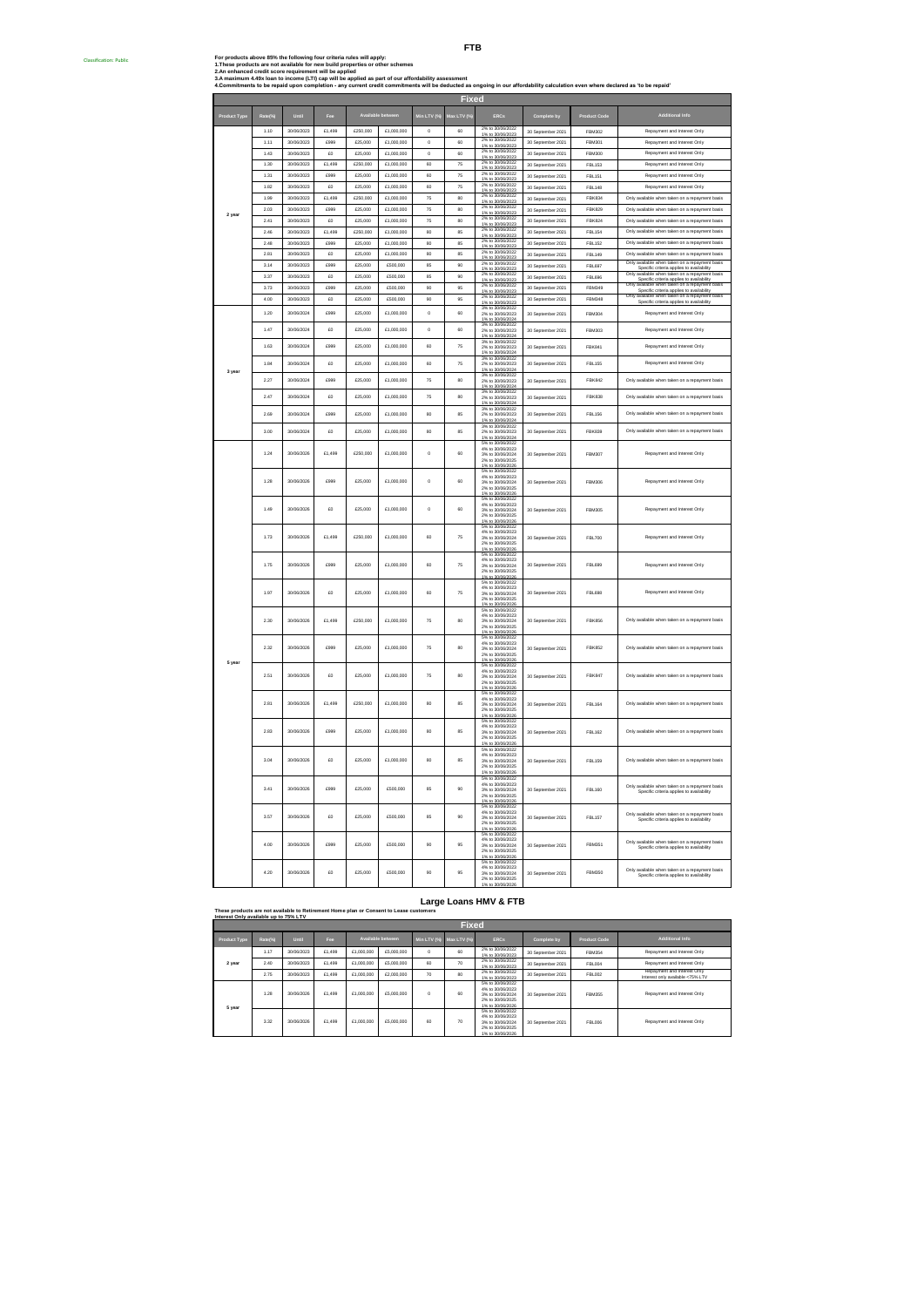ssification: Public

|        | 1 1 0 | 30/06/2023 | £1,499     | <b>£250,000</b> | £1,000,000  | $\Omega$      | m   | 1% to 30/06/2023                                         | 30 September 2021 | FBM302        | Repay<br>ment and Interest Only                                                             |
|--------|-------|------------|------------|-----------------|-------------|---------------|-----|----------------------------------------------------------|-------------------|---------------|---------------------------------------------------------------------------------------------|
|        | 1.11  | 30/06/2023 | £999       | £25,000         | £1,000,000  | $\mathfrak o$ | 60  | 2% to 30/06/2022<br>1% to 30/06/2023                     | 30 September 2021 | FBM301        | Repayment and Interest Only                                                                 |
|        | 1.43  | 30/06/2023 | $\epsilon$ | \$25,000        | £1,000,000  | $\circ$       | m   | 2% to 30/06/2022                                         |                   | <b>FBM300</b> | Repayment and Interest Only                                                                 |
|        |       |            |            |                 |             |               |     | to 30/06/202                                             | 30 September 2021 |               |                                                                                             |
|        | 1.30  | 30/06/2023 | £1,499     | £250,000        | £1,000,000  | 60            | 75  | 2% to 30/06/2022<br>1% to 30/06/2023                     | 30 September 2021 | FBL153        | Repayment and Interest Only                                                                 |
|        | 1.31  | 30/06/2023 | £999       | £25,000         | £1,000,000  | 60            | 75  | 2% to 30/06/2022                                         | 30 September 2021 | FBI 151       | Repayment and Interest Only                                                                 |
|        | 1.82  | 30/06/2023 | £O         | £25,000         | £1,000,000  | 60            | 75  |                                                          | 30 September 2021 | <b>FBL148</b> | Repayment and Interest Only                                                                 |
|        |       |            |            |                 |             |               |     | 1% to 30/06/2023<br>2% to 30/06/2022                     |                   |               |                                                                                             |
|        | 1.99  | 30/06/2023 | £1,499     | £250,000        | £1,000,000  | 75            | 80  | 1% to 30/06/2023                                         | 30 September 2021 | <b>FBK834</b> | Only available when taken on a repayment basis                                              |
|        | 2.03  | 30/06/2023 | £999       | £25,000         | £1,000,000  | 75            | 80  | 2% to 30/06/2022                                         | 30 September 2021 | <b>FBK829</b> | Only available when taken on a repayment basis                                              |
|        | 2.41  | 30/06/2023 | £O         | £25,000         | £1,000,000  | 75            | 80  | 1% to 30/06/2023<br>2% to 30/06/2022                     | 30 September 2021 | <b>FBK824</b> | Only available when taken on a repayment basis                                              |
|        |       |            |            |                 |             |               |     | 1% to 30/06/2023                                         |                   |               |                                                                                             |
|        | 2.46  | 30/06/2023 | £1,499     | £250,000        | £1,000,000  | 80            | 85  | 2% to 30/06/2022<br>1% to 30/06/2023                     | 30 September 2021 | <b>FBL154</b> | Only available when taken on a repayment basis                                              |
|        | 2.48  | 30/06/2023 | £999       | £25,000         | £1,000,000  | 80            | 85  | 2% to 30/06/2022<br>1% to 30/06/2023                     | 30 September 2021 | <b>FBL152</b> | Only available when taken on a repayment basis                                              |
|        | 2.81  | 30/06/2023 | £0         | £25,000         | £1,000,000  | 80            | 85  | 2% to 30/06/2022                                         | 30 September 2021 | <b>FBL149</b> | Only available when taken on a repayment basis                                              |
|        | 3.14  | 30/06/2023 | £999       | £25,000         | £500,000    | 85            | 90  | 1% to 30/06/2023<br>2% to 30/06/2023                     |                   |               | Only available when taken on a repayment basis                                              |
|        |       |            |            |                 |             |               |     | 1% to 30/06/2023                                         | 30 September 2021 | <b>FBL697</b> |                                                                                             |
|        | 3.37  | 30/06/2023 | £O         | £25,000         | £500,000    | 85            | 90  | 2% to 30/06/2022<br>1% to 30/06/2023                     | 30 September 2021 | <b>FBL696</b> | Only available when taken on a repayment basis                                              |
|        | 3.73  | 30/06/2023 | £999       | £25,000         | £500.000    | 90            | 95  | 2% to 30/06/2022<br>1% to 30/06/2023                     | 30 September 2021 | <b>FRM349</b> | Specific criteria applies to availability<br>wailable when taken on a repayment<br>Only     |
|        | 4.00  | 30/06/2023 | £o         | £25,000         | £500,000    | 90            | 95  | 2% to 30/06/2022                                         | 30 September 2021 | <b>FBM348</b> | Specific criteria applies to availability<br>Only available when taken on a repayment basis |
|        |       |            |            |                 |             |               |     | 1% to 30/06/2023                                         |                   |               | Specific criteria applies to availability                                                   |
|        | 1.20  | 30/06/2024 | £999       | £25,000         | £1,000,000  | $\mathsf 0$   | 60  | 3% to 30/06/2022<br>2% to 30/06/2023                     | 30 September 2021 | FBM304        | Repayment and Interest Only                                                                 |
|        |       |            |            |                 |             |               |     | 1% to 30/06/2024<br>3% to 30/06/2022                     |                   |               |                                                                                             |
|        | 1.47  | 30/06/2024 | £0         | £25,000         | £1,000,000  | $\circ$       | 60  | 2% to 30/06/2023<br>1% to 30/06/2023                     | 30 September 2021 | FBM303        | Repayment and Interest Only                                                                 |
|        |       |            |            |                 |             |               |     | 3% to 30/06/2022                                         |                   |               |                                                                                             |
|        | 1.63  | 30/06/2024 | £999       | £25,000         | £1,000,000  | 60            | 75  | 2% to 30/06/2023                                         | 30 September 2021 | <b>FBK841</b> | Repayment and Interest Only                                                                 |
|        |       |            |            |                 |             |               |     | 1% to 30/06/2024                                         |                   |               |                                                                                             |
|        | 1.84  | 30/06/2024 | 50         | £25,000         | £1,000,000  | en.           | 75  | 3% to 30/06/2022<br>2% to 30/06/2023                     | 30 September 2021 | <b>FBL155</b> | Repayment and Interest Only                                                                 |
|        |       |            |            |                 |             |               |     | 1% to 30/06/2024<br>3% to 30/06/2022                     |                   |               |                                                                                             |
|        | 2.27  | 30/06/2024 | £999       | £25,000         | £1,000,000  | 75            | 80  | 2% to 30/06/2023                                         | 30 September 2021 | <b>FBK842</b> | Only available when taken on a repayment basis                                              |
|        |       |            |            |                 |             |               |     | 1% to 30/06/202                                          |                   |               |                                                                                             |
|        | 2.47  | 30/06/2024 | £O         | £25,000         | £1,000,000  | 75            | 80  | 2% to 30/06/2023                                         | 30 September 2021 | <b>FBK838</b> | Only available when taken on a repayment basis                                              |
|        |       |            |            |                 |             |               |     | 1% to 30/06/2024<br>3% to 30/06/2022                     |                   |               |                                                                                             |
|        | 2.69  | 30/06/2024 | paga       | £25,000         | £1,000,000  | 80            | 85  | 2% to 30/06/2023                                         | 30 September 2021 | <b>FBL156</b> | Only available when taken on a repayment basis                                              |
|        |       |            |            |                 |             |               |     | 1% to 30/06/2024<br>3% to 30/06/2022                     |                   |               |                                                                                             |
|        | 3.00  | 30/06/2024 | 50         | £25,000         | \$1,000,000 | 80            | ss. | 2% to 30/06/2023                                         | 30 September 2021 | <b>FBK839</b> | Only available when taken on a repayment basis                                              |
|        |       |            |            |                 |             |               |     | to 30/06/20<br>5% to 30/06/2022                          |                   |               |                                                                                             |
|        | 1.24  | 30/06/2026 | £1,499     | \$250,000       | \$1,000,000 | $\theta$      | m   | 4% to 30/06/2023                                         |                   |               | Repayment and Interest Only                                                                 |
|        |       |            |            |                 |             |               |     | 3% to 30/06/2024<br>2% to 30/06/2024<br>2% to 30/06/2025 | 30 September 2021 | <b>FBM307</b> |                                                                                             |
|        |       |            |            |                 |             |               |     | 1% to 30/06/2026                                         |                   |               |                                                                                             |
|        |       |            |            |                 |             |               |     | 4% to 30/06/2023                                         |                   |               |                                                                                             |
|        | 1.28  | 30/06/2026 | £999       | £25,000         | £1,000,000  | $\circ$       | 60  | 3% to 30/06/2024<br>2% to 30/06/2024                     | 30 September 2021 | <b>FRM306</b> | Repayment and Interest Only                                                                 |
|        |       |            |            |                 |             |               |     | 1% to 30/06/202                                          |                   |               |                                                                                             |
|        |       |            |            |                 |             |               |     | 5% to 30/06/2022<br>4% to 30/06/2023                     |                   |               |                                                                                             |
|        | 1.49  | 30/06/2026 | £O         | £25,000         | £1,000,000  | $\circ$       | 60  | 3% to 30/06/2024                                         | 30 September 2021 | <b>FRM305</b> | Repayment and Interest Only                                                                 |
|        |       |            |            |                 |             |               |     | 2% to 30/06/2025<br>1% to 30/06/2026                     |                   |               |                                                                                             |
|        |       |            |            |                 |             |               |     | 5% to 30/06/2022                                         |                   |               |                                                                                             |
|        | 1.73  | 30/06/2026 | £1,499     | £250,000        | £1,000,000  | 60            | 75  | 4% to 30/06/2023<br>3% to 30/06/2024                     | 30 September 2021 | <b>FBL700</b> | Repayment and Interest Only                                                                 |
|        |       |            |            |                 |             |               |     | 2% to 30/06/2025                                         |                   |               |                                                                                             |
|        |       |            |            |                 |             |               |     | 1% to 30/06/2026<br>5% to 30/06/2022                     |                   |               |                                                                                             |
|        | 1.75  | 30/06/2026 | £999       | £25,000         | £1,000,000  | 60            | 75  | 4% to 30/06/2023                                         | 30 September 2021 | FRI 699       | Repayment and Interest Only                                                                 |
|        |       |            |            |                 |             |               |     | 3% to 30/06/2024<br>2% to 30/06/2024<br>2% to 30/06/2025 |                   |               |                                                                                             |
|        |       |            |            |                 |             |               |     | 1% to 30/06/20<br>5% to 30/06/2022                       |                   |               |                                                                                             |
|        |       |            |            |                 |             |               |     | 4% to 30/06/2023                                         |                   |               |                                                                                             |
|        | 1.97  | 30/06/2026 | £O         | £25,000         | £1,000,000  | 60            | 75  | 3% to 30/06/2024<br>2% to 30/06/2025                     | 30 Sentember 2021 | FRI 698       | Repayment and Interest Only                                                                 |
|        |       |            |            |                 |             |               |     | 1% to 30/06/202                                          |                   |               |                                                                                             |
|        |       |            |            |                 |             |               |     | 5% to 30/06/2022<br>4% to 30/06/2023                     |                   |               |                                                                                             |
|        | 2.30  | 30/06/2026 | £1,499     | £250,000        | £1,000,000  | 75            | 80  | 3% to 30/06/2024                                         | 30 September 2021 | <b>FBK856</b> | Only available when taken on a repayment basis                                              |
|        |       |            |            |                 |             |               |     | 2% to 30/06/2025<br>1% to 30/06/2026                     |                   |               |                                                                                             |
|        |       |            |            |                 |             |               |     | 5% to 30/06/2022                                         |                   |               |                                                                                             |
|        | 2.32  | 30/06/2026 | £999       | £25,000         | £1,000,000  | 75            | 80  | 4% to 30/06/2023<br>3% to 30/06/2024                     | 30 September 2021 | <b>FBK852</b> | Only available when taken on a repayment basis                                              |
|        |       |            |            |                 |             |               |     | 2% to 30/06/2025                                         |                   |               |                                                                                             |
| 5 year |       |            |            |                 |             |               |     | % to 30/06/20<br>5% to 30/06/2022                        |                   |               |                                                                                             |
|        | 2.51  | 30/06/2026 | £O         | £25,000         | £1,000,000  | 75            | 80  | 4% to 30/06/2023<br>3% to 30/06/2024                     | 30 September 2021 | <b>FBK847</b> | Only available when taken on a repayment basis                                              |
|        |       |            |            |                 |             |               |     | 2% to 30/06/2025                                         |                   |               |                                                                                             |
|        |       |            |            |                 |             |               |     | 1% to 30/06/202<br>5% to 30/06/2022                      |                   |               |                                                                                             |
|        |       |            |            |                 |             |               |     | 4% to 30/06/2023                                         |                   |               |                                                                                             |
|        | 2.81  | 30/06/2026 | £1,499     | £250,000        | £1,000,000  | 80            | 85  | 3% to 30/06/2024<br>2% to 30/06/2025                     | 30 September 2021 | FRI 164       | Only available when taken on a repayment basis                                              |
|        |       |            |            |                 |             |               |     | 1% to 30/06/2026                                         |                   |               |                                                                                             |
|        |       |            |            |                 |             |               |     | 5% to 30/06/2022<br>4% to 30/06/2023                     |                   |               |                                                                                             |
|        | 2.83  | 30/06/2026 | £999       | £25,000         | £1,000,000  | 80            | 85  | 3% to 30/06/2024<br>2% to 30/06/2025                     | 30 September 2021 | <b>FBL162</b> | Only available when taken on a repayment basis                                              |
|        |       |            |            |                 |             |               |     | 1% to 30/06/2026                                         |                   |               |                                                                                             |
|        |       |            |            |                 |             |               |     | 5% to 30/06/2022<br>4% to 30/06/2023                     |                   |               |                                                                                             |
|        | 3.04  | 30/06/2026 | £O         | £25,000         | £1,000,000  | 80            | 85  | 3% to 30/06/2024                                         | 30 September 2021 | <b>FBL159</b> | Only available when taken on a repay                                                        |
|        |       |            |            |                 |             |               |     | 2% to 30/06/2025<br>1% to 30/06/2026                     |                   |               |                                                                                             |
|        |       |            |            |                 |             |               |     | 5% to 30/06/2022                                         |                   |               |                                                                                             |
|        |       |            |            |                 |             |               |     | 4% to 30/06/2023                                         |                   |               | Only available when taken on a repayment basis                                              |
|        | 3.41  | 30/06/2026 | £999       | £25,000         | £500,000    | 85            | 90  | 3% to 30/06/2024<br>2% to 30/06/2025                     | 30 September 2021 | <b>FBL160</b> | Specific criteria applies to availability                                                   |
|        |       |            |            |                 |             |               |     | % to 30/06/202<br>% to 30/06/202                         |                   |               |                                                                                             |
|        |       |            |            |                 |             |               |     | 4% to 30/06/2023                                         |                   |               | ailable when taken on a repayment basis<br>Only av                                          |
|        | 3.57  | 30/06/2026 | £O         | £25,000         | £500,000    | 85            | 90  | 3% to 30/06/2024<br>2% to 30/06/2025                     | 30 September 2021 | <b>FBL157</b> | Specific criteria applies to availability                                                   |
|        |       |            |            |                 |             |               |     | % to 30/06/2026                                          |                   |               |                                                                                             |
|        |       |            |            |                 |             |               |     | 5% to 30/06/2022<br>4% to 30/06/2023                     |                   |               | ailable when taken on a repayment basis<br>Only av                                          |
|        | 4.00  | 30/06/2026 | £999       | £25,000         | £500,000    | 90            | 95  | 3% to 30/06/2024<br>2% to 30/06/2025                     | 30 September 2021 | FBM351        | Specific criteria applies to availability                                                   |
|        |       |            |            |                 |             |               |     | % to 30/06/2026                                          |                   |               |                                                                                             |
|        |       |            |            |                 |             |               |     | 5% to 30/06/2022<br>4% to 30/06/2023                     |                   |               |                                                                                             |
|        | 4.20  | 30/06/2026 | £O         | £25,000         | £500,000    | 90            | 95  | 3% to 30/06/2024                                         | 30 September 2021 | FBM350        | Only available when taken on a repayment basis<br>Specific criteria applies to availability |
|        |       |            |            |                 |             |               |     | 2% to 30/06/2025                                         |                   |               |                                                                                             |

# **Large Loans HMV & FTB These products are not available to Retirement Home plan or Consent to Lease customers**

|                     | Interest Only available up to 75% LTV |            |            |            |                   |          |                         |                                                                                                  |                   |                     |                                                                 |  |  |  |  |
|---------------------|---------------------------------------|------------|------------|------------|-------------------|----------|-------------------------|--------------------------------------------------------------------------------------------------|-------------------|---------------------|-----------------------------------------------------------------|--|--|--|--|
|                     | <b>Fixed</b>                          |            |            |            |                   |          |                         |                                                                                                  |                   |                     |                                                                 |  |  |  |  |
| <b>Product Type</b> | Rate(%)                               | Until      | <b>Fee</b> |            | Available between |          | Min LTV (%) Max LTV (%) | <b>ERCs</b>                                                                                      | Complete by       | <b>Product Code</b> | <b>Additional Info</b>                                          |  |  |  |  |
|                     | 1.17                                  | 30/06/2023 | £1,499     | £1,000,000 | £5,000,000        | $\Omega$ | 60                      | 2% to 30/06/2022<br>1% to 30/06/2023                                                             | 30 September 2021 | <b>FBM354</b>       | Repayment and Interest Only                                     |  |  |  |  |
| 2 year              | 2.40                                  | 30/06/2023 | £1,499     | £1,000,000 | £5,000,000        | 60       | 70                      | 2% to 30/06/2022<br>1% to 30/06/2023                                                             | 30 September 2021 | <b>FBL004</b>       | Repayment and Interest Only                                     |  |  |  |  |
|                     | 2.75                                  | 30/06/2023 | £1,499     | £1,000,000 | £2,000.000        | 70       | 80                      | 2% to 30/06/2022<br>1% to 30/06/2023                                                             | 30 September 2021 | <b>FBL002</b>       | Repayment and Interest Only<br>Interest only available <75% LTV |  |  |  |  |
| 5 year              | 1.28                                  | 30/06/2026 | £1,499     | £1,000,000 | £5,000,000        | $\Omega$ | en.                     | 5% to 30/06/2022<br>4% to 30/06/2023<br>3% to 30/06/2024<br>2% to 30/06/2025<br>1% to 30/06/2026 | 30 September 2021 | FBM355              | Repayment and Interest Only                                     |  |  |  |  |
|                     | 3.32                                  | 30/06/2026 | £1,499     | £1,000,000 | £5,000,000        | 60       | 70                      | 5% to 30/06/2022<br>4% to 30/06/2023<br>3% to 30/06/2024<br>2% to 30/06/2025<br>1% to 30/06/2026 | 30 September 2021 | <b>FBL006</b>       | Repayment and Interest Only                                     |  |  |  |  |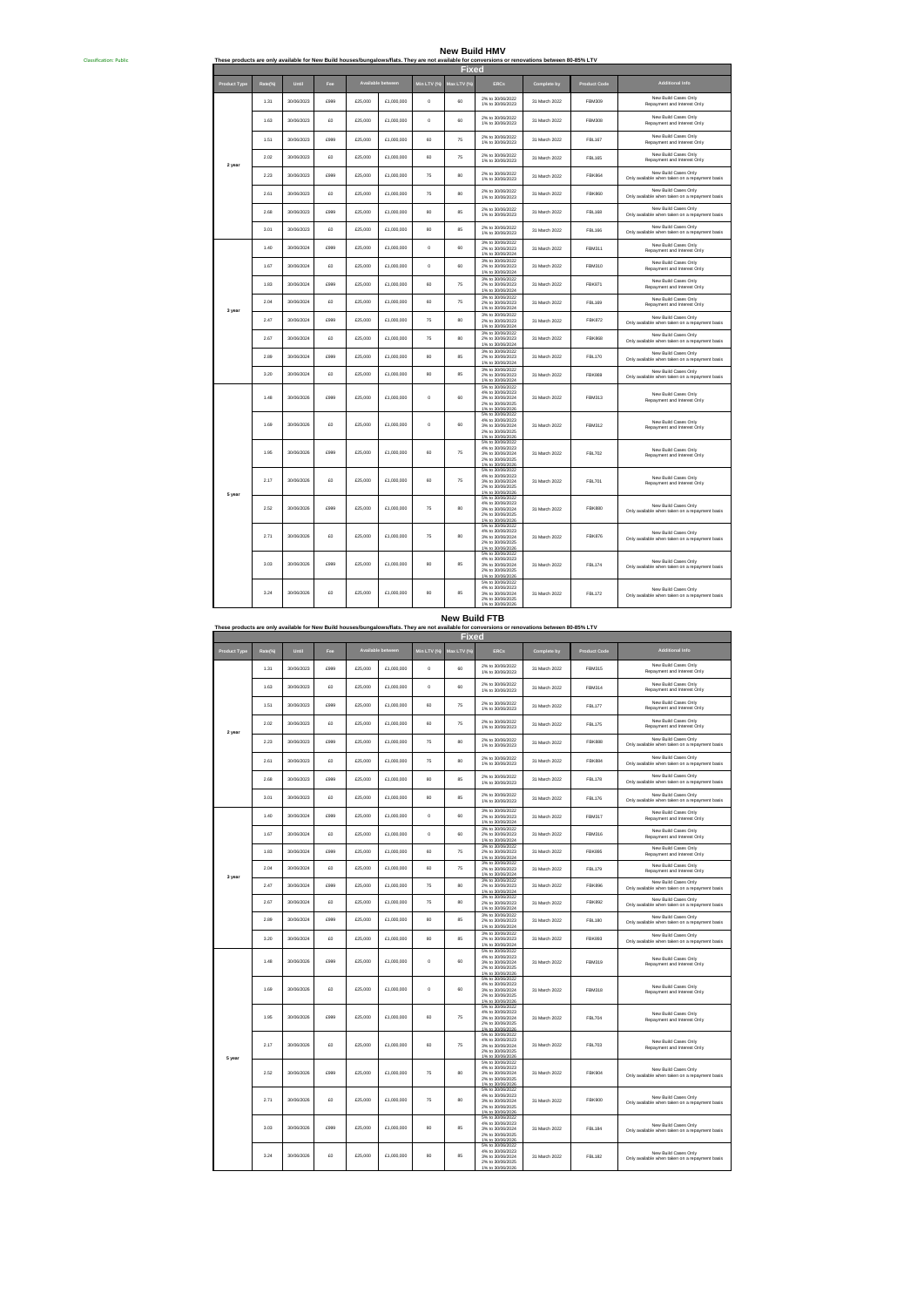**New Build HMV**

| <b>Classification: Public</b> | New Build HMV<br>These products are only available for New Build houses/bungalows/flats. They are not available for conversions or renovations between 80-85% LTV |         |            |      |         |                   |              |                 |                                                                                                  |               |                     |                                                                        |  |  |
|-------------------------------|-------------------------------------------------------------------------------------------------------------------------------------------------------------------|---------|------------|------|---------|-------------------|--------------|-----------------|--------------------------------------------------------------------------------------------------|---------------|---------------------|------------------------------------------------------------------------|--|--|
|                               |                                                                                                                                                                   |         |            |      |         |                   |              | Fixed           |                                                                                                  |               |                     |                                                                        |  |  |
|                               | <b>Product Type</b>                                                                                                                                               | Rate(%) | Until      | Fee  |         | Available between | Min LTV (%)  | Aax LTV (%      | <b>ERCs</b>                                                                                      | Complete by   | <b>Product Code</b> | <b>Additional Info</b>                                                 |  |  |
|                               |                                                                                                                                                                   | 1.31    | 30/06/2023 | 6999 | £25,000 | £1,000,000        | $\circ$      | 60              | 2% to 30/06/2022<br>1% to 30/06/2023                                                             | 31 March 2022 | FBM309              | New Build Cases Only<br>Repayment and Interest Only                    |  |  |
|                               |                                                                                                                                                                   | 1.63    | 30/06/2023 | £O   | £25,000 | £1,000,000        | $\mathsf{o}$ | 60              | 2% to 30/06/2022<br>1% to 30/06/2023                                                             | 31 March 2022 | FBM308              | New Build Cases Only<br>Repayment and Interest Only                    |  |  |
|                               |                                                                                                                                                                   | 1.51    | 30/06/2023 | £999 | £25,000 | £1,000,000        | 60           | 75              | 2% to 30/06/2022<br>1% to 30/06/2023                                                             | 31 March 2022 | <b>FBI 167</b>      | New Build Cases Only<br>Repayment and Interest Only                    |  |  |
|                               | 2 year                                                                                                                                                            | 2.02    | 30/06/2023 | £O   | £25,000 | £1,000,000        | 60           | 75              | 2% to 30/06/2022<br>1% to 30/06/2023                                                             | 31 March 2022 | <b>FBL165</b>       | New Build Cases Only<br>Repayment and Interest Only                    |  |  |
|                               |                                                                                                                                                                   | 2.23    | 30/06/2023 | £999 | £25,000 | £1,000,000        | 75           | 80              | 2% to 30/06/2022<br>1% to 30/06/2023                                                             | 31 March 2022 | <b>FBK864</b>       | New Build Cases Only<br>Only available when taken on a repayment basis |  |  |
|                               |                                                                                                                                                                   | 2.61    | 30/06/2023 | 50   | £25,000 | £1,000,000        | 75           | 80 <sub>1</sub> | 2% to 30/06/2022<br>1% to 30/06/2023                                                             | 31 March 2022 | <b>FRK860</b>       | New Build Cases Only<br>Only available when taken on a repayment basis |  |  |
|                               |                                                                                                                                                                   | 2.68    | 30/06/2023 | £999 | £25,000 | £1,000,000        | 80           | 85              | 2% to 30/06/2022<br>1% to 30/06/2023                                                             | 31 March 2022 | FBI 168             | New Build Cases Only<br>Only available when taken on a repayment basis |  |  |
|                               |                                                                                                                                                                   | 3.01    | 30/06/2023 | £O   | £25,000 | £1,000,000        | 80           | 85              | 2% to 30/06/2022<br>1% to 30/06/2023                                                             | 31 March 2022 | <b>FBL166</b>       | New Build Cases Only<br>Only available when taken on a repayment basis |  |  |
|                               |                                                                                                                                                                   | 1.40    | 30/06/2024 | 6999 | £25,000 | £1,000,000        | $\alpha$     | m               | 3% to 30/06/2022<br>2% to 30/06/2023<br>1% to 30/06/2024<br>3% to 30/06/2022                     | 31 March 2022 | FBM311              | New Build Cases Only<br>Repayment and Interest Only                    |  |  |
|                               |                                                                                                                                                                   | 1.67    | 30/06/2024 | £O   | £25,000 | £1,000,000        | $\circ$      | 60              | 2% to 30/06/2023<br>1% to 30/06/2024<br>3% to 30/06/2022                                         | 31 March 2022 | FRM310              | New Build Cases Only<br>Repayment and Interest Only                    |  |  |
|                               |                                                                                                                                                                   | 1.83    | 30/06/2024 | £999 | £25,000 | £1,000,000        | 60           | 75              | 2% to 30/06/2023<br>1% to 30/06/2024<br>3% to 30/06/2022                                         | 31 March 2022 | FRK871              | New Build Cases Only<br>Repayment and Interest Only                    |  |  |
|                               | 3 year                                                                                                                                                            | 2.04    | 30/06/2024 | £0   | £25,000 | £1,000,000        | 60           | 75              | 2% to 30/06/2023<br>1% to 30/06/2024<br>3% to 30/06/2022                                         | 31 March 2022 | FBL169              | New Build Cases Only<br>Repayment and Interest Only                    |  |  |
|                               |                                                                                                                                                                   | 2.47    | 30/06/2024 | 6999 | £25,000 | £1,000,000        | 75           | 80 <sub>1</sub> | 2% to 30/06/2023<br>1% to 30/06/2024                                                             | 31 March 2022 | FRK872              | New Build Cases Only<br>Only available when taken on a repayment basis |  |  |
|                               |                                                                                                                                                                   | 2.67    | 30/06/2024 | £O   | £25,000 | £1,000,000        | 75           | 80              | 3% to 30/06/2022<br>2% to 30/06/2023<br>1% to 30/06/2024                                         | 31 March 2022 | <b>FBK868</b>       | New Build Cases Only<br>Only available when taken on a repayment basis |  |  |
|                               |                                                                                                                                                                   | 2.89    | 30/06/2024 | £999 | £25,000 | £1,000,000        | 80           | 85              | 3% to 30/06/2022<br>2% to 30/06/2023<br>1% to 30/06/2024                                         | 31 March 2022 | <b>FBL170</b>       | New Build Cases Only<br>Only available when taken on a repayment basis |  |  |
|                               |                                                                                                                                                                   | 3.20    | 30/06/2024 | 50   | £25,000 | £1,000,000        | 80           | 85              | 3% to 30/06/2022<br>2% to 30/06/2023<br>1% to 30/06/2024<br>5% to 30/06/2022                     | 31 March 2022 | <b>FBK869</b>       | New Build Cases Only<br>Only available when taken on a repayment basis |  |  |
|                               |                                                                                                                                                                   | 1.48    | 30/06/2026 | £999 | £25,000 | £1,000,000        | $\mathsf{o}$ | 60              | 4% to 30/06/2023<br>3% to 30/06/2024<br>2% to 30/06/2025<br>1% to 30/06/2026                     | 31 March 2022 | <b>FBM313</b>       | New Build Cases Only<br>Repayment and Interest Only                    |  |  |
|                               |                                                                                                                                                                   | 1.69    | 30/06/2026 | £O   | £25,000 | £1,000,000        | $\mathsf{o}$ | 60              | 5% to 30/06/2022<br>4% to 30/08/2023<br>3% to 30/06/2024<br>2% to 30/06/2025<br>1% to 30/06/2026 | 31 March 2022 | FBM312              | New Build Cases Only<br>Repayment and Interest Only                    |  |  |
|                               |                                                                                                                                                                   | 1.95    | 30/06/2026 | £999 | £25,000 | £1,000,000        | 60           | 75              | 5% to 30/06/2022<br>4% to 30/08/2023<br>3% to 30/06/2024<br>2% to 30/06/2025<br>1% to 30/06/2026 | 31 March 2022 | FBL702              | New Build Cases Only<br>Repayment and Interest Only                    |  |  |
|                               | 5 year                                                                                                                                                            | 2.17    | 30/06/2026 | £O   | £25,000 | £1,000,000        | 60           | 75              | 5% to 30/06/2022<br>4% to 30/06/2023<br>3% to 30/06/2024<br>2% to 30/06/2025<br>1% to 30/06/2026 | 31 March 2022 | <b>FBL701</b>       | New Build Cases Only<br>Repayment and Interest Only                    |  |  |
|                               |                                                                                                                                                                   | 2.52    | 30/06/2026 | 6999 | £25,000 | £1,000,000        | 75           | 80              | 5% to 30/06/2022<br>4% to 30/06/2023<br>3% to 30/06/2024<br>2% to 30/06/2025<br>1% to 30/06/2026 | 31 March 2022 | <b>FBK880</b>       | New Build Cases Only<br>Only available when taken on a repayment basis |  |  |
|                               |                                                                                                                                                                   | 2.71    | 30/06/2026 | £O   | £25,000 | £1,000,000        | 75           | 80              | 5% to 30/06/2022<br>4% to 30/06/2023<br>3% to 30/06/2024<br>2% to 30/06/2025<br>1% to 30/06/2026 | 31 March 2022 | <b>FBK876</b>       | New Build Cases Only<br>Only available when taken on a repayment basis |  |  |
|                               |                                                                                                                                                                   | 3.03    | 30/06/2026 | £999 | £25,000 | £1,000,000        | 80           | 85              | 5% to 30/06/2022<br>4% to 30/06/2023<br>3% to 30/06/2024<br>2% to 30/06/2025<br>1% to 30/06/2026 | 31 March 2022 | <b>FBL174</b>       | New Build Cases Only<br>Only available when taken on a repayment basis |  |  |
|                               |                                                                                                                                                                   | 3.24    | 30/06/2026 | £0   | £25,000 | £1,000,000        | 80           | 85              | 5% to 30/06/2022<br>4% to 30/08/2023<br>3% to 30/06/2024<br>2% to 30/06/2025<br>1% to 30/06/2026 | 31 March 2022 | FBI 172             | New Build Cases Only<br>Only available when taken on a repayment basis |  |  |

**New Build FTB**

|                     | These products are only available for New Build houses/bungalows/flats. They are not available for conversions or renovations between 80-85% LTV<br>Fixed |            |      |         |                   |              |            |                                                                                                  |               |                     |                                                                        |  |  |
|---------------------|-----------------------------------------------------------------------------------------------------------------------------------------------------------|------------|------|---------|-------------------|--------------|------------|--------------------------------------------------------------------------------------------------|---------------|---------------------|------------------------------------------------------------------------|--|--|
|                     |                                                                                                                                                           | Until      | Fee  |         | Available between | Min LTV (%)  | Max LTV (% | <b>ERCs</b>                                                                                      |               |                     | <b>Additional Info</b>                                                 |  |  |
| <b>Product Type</b> | Rate(%)                                                                                                                                                   |            |      |         |                   |              |            | 2% to 30/08/2022                                                                                 | Complete by   | <b>Product Code</b> | New Build Cases Only                                                   |  |  |
|                     | 1.31                                                                                                                                                      | 30/06/2023 | 6999 | £25,000 | £1,000,000        | $\circ$      | 60         | 1% to 30/06/2023                                                                                 | 31 March 2022 | FBM315              | Repayment and Interest Only<br>New Build Cases Only                    |  |  |
|                     | 1.63                                                                                                                                                      | 30/06/2023 | £O   | £25,000 | £1,000,000        | $\circ$      | 60         | 2% to 30/08/2022<br>1% to 30/06/2023                                                             | 31 March 2022 | FBM314              | Repayment and Interest Only                                            |  |  |
|                     | 1.51                                                                                                                                                      | 30/06/2023 | £999 | £25,000 | £1,000,000        | 60           | 75         | 2% to 30/06/2022<br>1% to 30/06/2023                                                             | 31 March 2022 | <b>FBI 177</b>      | New Build Cases Only<br>Repayment and Interest Only                    |  |  |
| 2 year              | 200                                                                                                                                                       | 30/06/2023 | £O   | £25,000 | £1,000,000        | 60           | 75         | 2% to 30/06/2022<br>1% to 30/06/2023                                                             | 31 March 2022 | <b>FBL175</b>       | New Build Cases Only<br>Repayment and Interest Only                    |  |  |
|                     | 223                                                                                                                                                       | 30/06/2023 | 6999 | £25,000 | \$1,000,000       | 76           | 80         | 2% to 30/06/2022<br>1% to 30/06/2023                                                             | 31 March 2022 | <b>FRKRRR</b>       | New Build Cases Only<br>Only available when taken on a repayment basis |  |  |
|                     | 2.61                                                                                                                                                      | 30/06/2023 | £0   | £25,000 | £1,000,000        | 75           | 80         | 2% to 30/06/2022<br>1% to 30/06/2023                                                             | 31 March 2022 | <b>FRKRR4</b>       | New Build Cases Only<br>Only available when taken on a repayment basis |  |  |
|                     | 2.68                                                                                                                                                      | 30/06/2023 | 6999 | £25,000 | £1,000,000        | 80           | 85         | 2% to 30/08/2022<br>1% to 30/06/2023                                                             | 31 March 2022 | <b>FBL178</b>       | New Build Cases Only<br>Only available when taken on a repayment basis |  |  |
|                     | 3.01                                                                                                                                                      | 30/06/2023 | £0   | £25,000 | £1,000,000        | 80           | 85         | 2% to 30/06/2022<br>1% to 30/06/2023                                                             | 31 March 2022 | <b>FBL176</b>       | New Build Cases Only<br>Only available when taken on a repayment basis |  |  |
|                     | 1.40                                                                                                                                                      | 30/06/2024 | 6999 | £25,000 | £1,000,000        | $\circ$      | 60         | 3% to 30/06/2022<br>2% to 30/06/2023<br>1% to 30/06/2024                                         | 31 March 2022 | <b>FBM317</b>       | New Build Cases Only<br>Repayment and Interest Only                    |  |  |
|                     | 1.67                                                                                                                                                      | 30/06/2024 | £0   | £25,000 | £1,000,000        | $\mathsf{o}$ | 60         | 3% to 30/06/2022<br>2% to 30/06/2023<br>1% to 30/06/2024                                         | 31 March 2022 | FBM316              | New Build Cases Only<br>Repayment and Interest Only                    |  |  |
|                     | 1.83                                                                                                                                                      | 30/06/2024 | 6999 | £25,000 | \$1,000,000       | RΩ           | 76         | 3% to 30/06/2022<br>2% to 30/06/2023<br>1% to 30/06/2024                                         | 31 March 2022 | <b>FBK895</b>       | New Build Cases Only<br>Repayment and Interest Only                    |  |  |
| 3 year              | 2.04                                                                                                                                                      | 30/06/2024 | £O   | £25,000 | £1,000,000        | 60           | 75         | 3% to 30/06/2022<br>2% to 30/06/2023<br>1% to 30/06/2024                                         | 31 March 2022 | <b>FBL179</b>       | New Build Cases Only<br>Repayment and Interest Only                    |  |  |
|                     | 2.47                                                                                                                                                      | 30/06/2024 | £999 | £25,000 | £1,000,000        | 75           | 80         | 3% to 30/06/2022<br>2% to 30/06/2023<br>1% to 30/06/2024                                         | 31 March 2022 | <b>FBK896</b>       | New Build Cases Only<br>Only available when taken on a repayment basis |  |  |
|                     | 2.67                                                                                                                                                      | 30/06/2024 | 50   | £25,000 | £1,000,000        | 75           | 80         | 3% to 30/06/2022<br>2% to 30/06/2023<br>1% to 30/06/2024                                         | 31 March 2022 | FRK892              | New Build Cases Only<br>Only available when taken on a repayment basis |  |  |
|                     | 2.89                                                                                                                                                      | 30/06/2024 | £999 | £25,000 | £1,000,000        | 80           | 85         | 3% to 30/06/2022<br>2% to 30/06/2023<br>1% to 30/06/2024                                         | 31 March 2022 | <b>FRI 180</b>      | New Build Cases Only<br>Only available when taken on a repayment basis |  |  |
|                     | 3.20                                                                                                                                                      | 30/06/2024 | £O   | £25,000 | £1,000,000        | 80           | 85         | 3% to 30/06/2022<br>2% to 30/06/2023<br>1% to 30/06/2024                                         | 31 March 2022 | <b>FRK893</b>       | New Build Cases Only<br>Only available when taken on a repayment basis |  |  |
|                     | 1.48                                                                                                                                                      | 30/06/2026 | 6999 | £25,000 | £1,000,000        | $\theta$     | m          | 5% to 30/06/2022<br>4% to 30/06/2023<br>3% to 30/06/2024<br>2% to 30/06/2025<br>1% to 30/06/2026 | 31 March 2022 | FRM319              | New Build Cases Only<br>Repayment and Interest Only                    |  |  |
|                     | 1.69                                                                                                                                                      | 30/06/2026 | £O   | £25,000 | £1,000,000        | $\mathbb O$  | 60         | 5% to 30/06/2022<br>4% to 30/08/2023<br>3% to 30/06/2024<br>2% to 30/06/2025<br>1% to 30/06/2026 | 31 March 2022 | FRM318              | New Build Cases Only<br>Repayment and Interest Only                    |  |  |
|                     | 1.95                                                                                                                                                      | 30/06/2026 | 6999 | £25,000 | £1,000,000        | 60           | 75         | 5% to 30/06/2022<br>4% to 30/06/2023<br>3% to 30/06/2024<br>2% to 30/06/2025<br>1% to 30/06/2026 | 31 March 2022 | <b>FBL704</b>       | New Build Cases Only<br>Repayment and Interest Only                    |  |  |
| 5 year              | 2.17                                                                                                                                                      | 30/06/2026 | £O   | £25,000 | £1,000,000        | 60           | 75         | 5% to 30/06/2022<br>4% to 30/06/2023<br>3% to 30/06/2024<br>2% to 30/06/2025<br>1% to 30/06/2026 | 31 March 2022 | <b>FBL703</b>       | New Build Cases Only<br>Repayment and Interest Only                    |  |  |
|                     | 250                                                                                                                                                       | 30/06/2026 | £999 | £25,000 | £1,000,000        | 75           | 80         | 5% to 30/06/2022<br>4% to 30/08/2023<br>3% to 30/06/2024<br>2% to 30/06/2025<br>1% to 30/06/2026 | 31 March 2022 | <b>FBK904</b>       | New Build Cases Only<br>Only available when taken on a repayment basis |  |  |
|                     | 2.71                                                                                                                                                      | 30/06/2026 | £O   | £25,000 | £1,000,000        | 75           | 80         | 5% to 30/06/2022<br>4% to 30/06/2023<br>3% to 30/06/2024<br>2% to 30/06/2025<br>1% to 30/06/2026 | 31 March 2022 | <b>FBK900</b>       | New Build Cases Only<br>Only available when taken on a repayment basis |  |  |
|                     | 3.03                                                                                                                                                      | 30/06/2026 | 6999 | £25,000 | £1,000,000        | 80           | 85         | 5% to 30/06/2022<br>4% to 30/06/2023<br>3% to 30/06/2024<br>2% to 30/06/2025<br>1% to 30/06/2026 | 31 March 2022 | <b>FBL184</b>       | New Build Cases Only<br>Only available when taken on a repayment basis |  |  |
|                     | 3.24                                                                                                                                                      | 30/06/2026 | £O   | £25,000 | £1,000,000        | 80           | 85         | 5% to 30/06/2022<br>4% to 30/06/2023<br>3% to 30/06/2024<br>2% to 30/06/2025<br>1% to 30/06/2026 | 31 March 2022 | <b>FRI 182</b>      | New Build Cases Only<br>Only available when taken on a repayment basis |  |  |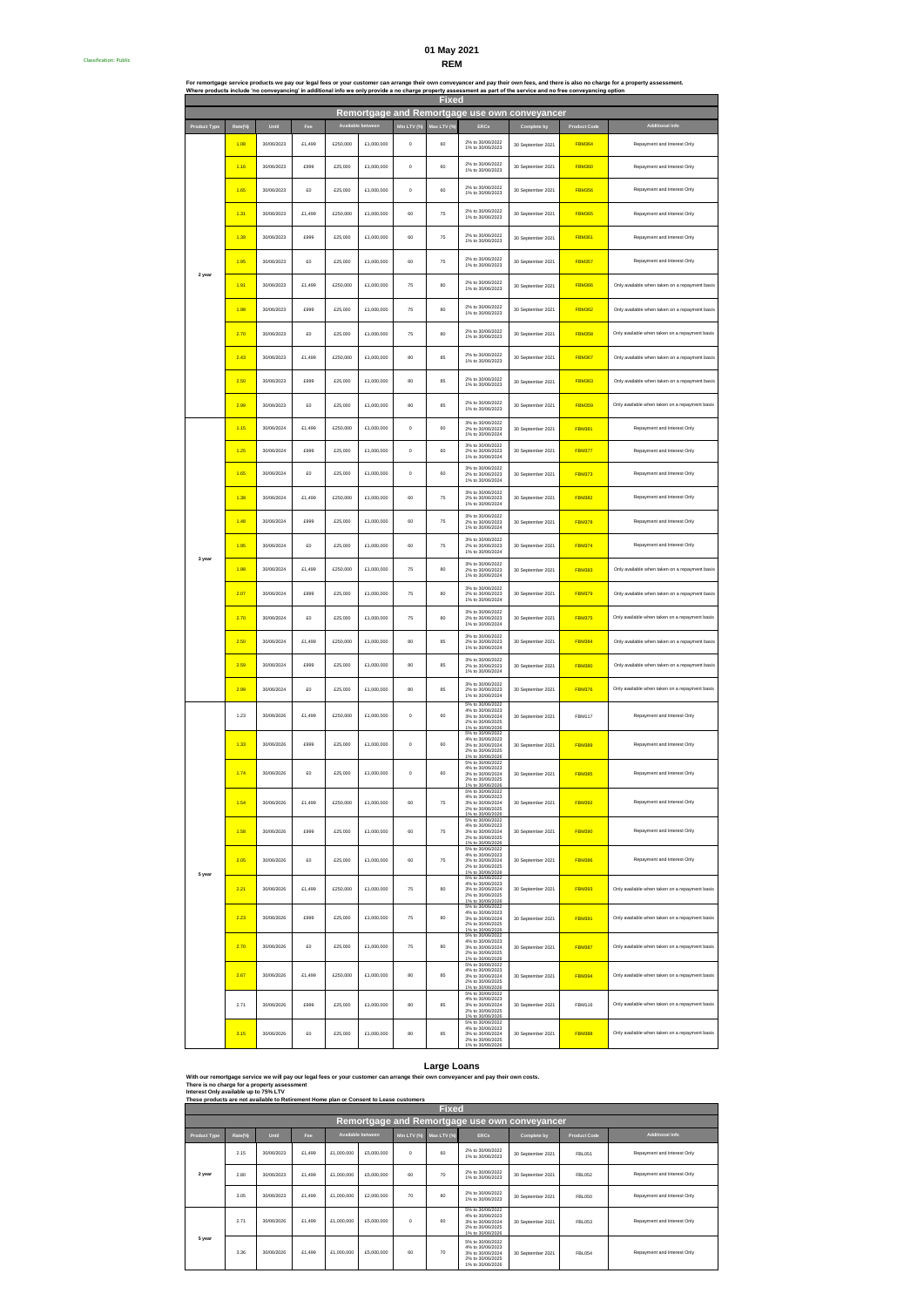## **REM 01 May 2021**

Classification: Public #

|                     |         |            |        |                     |            |             | <b>Fixed</b> |                                                                                                                      | Where products include 'no conveyancing' in additional info we only provide a no charge property assessment as part of the service and no free conveyancing option |                     | For remortgage service products we pay our legal fees or your customer can arrange their own conveyancer and pay their own fees, and there is also no charge for a property assessment. |
|---------------------|---------|------------|--------|---------------------|------------|-------------|--------------|----------------------------------------------------------------------------------------------------------------------|--------------------------------------------------------------------------------------------------------------------------------------------------------------------|---------------------|-----------------------------------------------------------------------------------------------------------------------------------------------------------------------------------------|
|                     |         |            |        |                     |            |             |              |                                                                                                                      | Remortgage and Remortgage use own conveyancer                                                                                                                      |                     |                                                                                                                                                                                         |
| <b>Product Type</b> | Rate(%) | Until      | Fee    | <b>Available be</b> |            | Min LTV (%) | Max LTV (%)  | ERCs                                                                                                                 | Complete by                                                                                                                                                        | <b>Product Code</b> | Additional Info                                                                                                                                                                         |
|                     | 1.08    | 30/06/2023 | £1,499 | £250,000            | £1,000,000 | $\circ$     | 60           | 2% to 30/06/2022<br>1% to 30/06/2023                                                                                 | 30 September 2021                                                                                                                                                  | <b>FBM364</b>       | Repayment and Interest Only                                                                                                                                                             |
|                     | 1.16    | 30/06/2023 | £999   | £25,000             | £1,000,000 | $\circ$     | 60           | 2% to 30/06/2022<br>1% to 30/06/2023                                                                                 | 30 September 2021                                                                                                                                                  | <b>FBM360</b>       | Repayment and Interest Only                                                                                                                                                             |
|                     | 1.65    | 30/06/2023 | £0     | £25,000             | £1,000,000 | $\circ$     | 60           | 2% to 30/06/2022<br>1% to 30/06/2023                                                                                 | 30 September 2021                                                                                                                                                  | <b>FBM356</b>       | Repayment and Interest Only                                                                                                                                                             |
|                     | 1.31    | 30/06/2023 | £1,499 | £250,000            | £1,000,000 | 60          | 75           | 2% to 30/06/2022<br>1% to 30/06/2023                                                                                 | 30 September 2021                                                                                                                                                  | <b>FBM365</b>       | Repayment and Interest Only                                                                                                                                                             |
|                     | 1.39    | 30/06/2023 | £999   | £25,000             | £1,000,000 | 60          | 75           | 2% to 30/06/2022<br>1% to 30/06/2023                                                                                 | 30 September 2021                                                                                                                                                  | <b>FBM361</b>       | Repayment and Interest Only                                                                                                                                                             |
| 2 year              | 1.95    | 30/06/2023 | £0     | £25,000             | £1,000,000 | 60          | 75           | 2% to 30/06/2022<br>1% to 30/06/2023                                                                                 | 30 September 2021                                                                                                                                                  | <b>FBM357</b>       | Repayment and Interest Only                                                                                                                                                             |
|                     | 1.91    | 30/06/2023 | £1,499 | £250,000            | £1,000,000 | 76          | 80           | 2% to 30/06/2022<br>1% to 30/06/2023                                                                                 | 30 September 2021                                                                                                                                                  | <b>FBM366</b>       | Only available when taken on a repayment basis                                                                                                                                          |
|                     | 1.98    | 30/06/2023 | £999   | £25,000             | £1,000,000 | 76          | 80           | 2% to 30/06/2022<br>1% to 30/06/2023                                                                                 | 30 September 2021                                                                                                                                                  | <b>FBM362</b>       | Only available when taken on a repayment basis                                                                                                                                          |
|                     | 2.70    | 30/06/2023 | £0     | £25,000             | £1,000,000 | 76          | 80           | 2% to 30/06/2022<br>1% to 30/06/2023                                                                                 | 30 September 2021                                                                                                                                                  | <b>FBM358</b>       | Only available when taken on a repayment basis                                                                                                                                          |
|                     | 2.43    | 30/06/2023 | £1,499 | £250,000            | £1,000,000 | 80          | 85           | 2% to 30/06/2022<br>1% to 30/06/2023                                                                                 | 30 September 2021                                                                                                                                                  | <b>FBM367</b>       | Only available when taken on a repayment basis                                                                                                                                          |
|                     | 2.50    | 30/06/2023 | £999   | £25,000             | £1,000,000 | 80          | 85           | 2% to 30/06/2022<br>1% to 30/06/2023                                                                                 | 30 September 2021                                                                                                                                                  | <b>FBM363</b>       | Only available when taken on a repayment basis                                                                                                                                          |
|                     | 2.99    | 30/06/2023 | £0     | £25,000             | £1,000,000 | 80          | 85           | 2% to 30/06/2022<br>1% to 30/06/2023                                                                                 | 30 September 2021                                                                                                                                                  | <b>FBM359</b>       | Only available when taken on a repayment basis                                                                                                                                          |
|                     | 1.16    | 30/06/2024 | £1,499 | £250,000            | £1,000,000 | $\circ$     | 60           | 3% to 30/06/2022<br>2% to 30/06/2023<br>1% to 30/06/2024                                                             | 30 September 2021                                                                                                                                                  | <b>FBM381</b>       | Repayment and Interest Only                                                                                                                                                             |
|                     | 1.25    | 30/06/2024 | £999   | £25,000             | £1,000,000 | $\circ$     | 60           | 3% to 30/06/2022<br>2% to 30/08/2023<br>1% to 30/06/2024                                                             | 30 September 2021                                                                                                                                                  | <b>FBM377</b>       | Repayment and Interest Only                                                                                                                                                             |
|                     | 1.65    | 30/06/2024 | £0     | £25,000             | £1,000,000 | $\circ$     | 60           | 3% to 30/06/2022<br>2% to 30/06/2023<br>1% to 30/06/2024                                                             | 30 September 2021                                                                                                                                                  | <b>FBM373</b>       | Repayment and Interest Only                                                                                                                                                             |
|                     | 1.38    | 30/06/2024 | £1,499 | £250,000            | £1,000,000 | 60          | 75           | 3% to 30/06/2022<br>2% to 30/06/2023<br>1% to 30/06/2024                                                             | 30 September 2021                                                                                                                                                  | <b>FBM382</b>       | Repayment and Interest Only                                                                                                                                                             |
|                     | 1.48    | 30/06/2024 | £999   | £25,000             | £1,000,000 | 60          | 75           | 3% to 30/06/2022<br>2% to 30/06/2023<br>1% to 30/06/2024                                                             | 30 September 2021                                                                                                                                                  | <b>FBM378</b>       | Repayment and Interest Only                                                                                                                                                             |
| 3 year              | 1.95    | 30/06/2024 | £0     | £25,000             | £1,000,000 | 60          | 75           | 3% to 30/06/2022<br>2% to 30/06/2023<br>1% to 30/06/2024                                                             | 30 September 2021                                                                                                                                                  | <b>FBM374</b>       | Repayment and Interest Only                                                                                                                                                             |
|                     | 1.98    | 30/06/2024 | £1,499 | £250,000            | £1,000,000 | 75          | 80           | 3% to 30/06/2022<br>2% to 30/06/2023<br>1% to 30/06/2024                                                             | 30 September 2021                                                                                                                                                  | <b>FBM383</b>       | Only available when taken on a repayment basis                                                                                                                                          |
|                     | 2.07    | 30/06/2024 | £999   | £25,000             | £1,000,000 | 76          | 80           | 3% to 30/06/2022<br>2% to 30/06/2023<br>1% to 30/06/2024                                                             | 30 September 2021                                                                                                                                                  | <b>FBM379</b>       | Only available when taken on a repayment basis                                                                                                                                          |
|                     | 2.70    | 30/06/2024 | £0     | £25,000             | £1,000,000 | 75          | 80           | 3% to 30/06/2022<br>2% to 30/06/2023<br>1% to 30/06/2024                                                             | 30 September 2021                                                                                                                                                  | <b>FBM375</b>       | Only available when taken on a repayment basis                                                                                                                                          |
|                     | 2.50    | 30/06/2024 | £1,499 | £250,000            | £1,000,000 | 80          | 85           | 3% to 30/06/2022<br>2% to 30/06/2023<br>1% to 30/06/2024                                                             | 30 September 2021                                                                                                                                                  | <b>FBM384</b>       | Only available when taken on a repayment basis                                                                                                                                          |
|                     | 2.59    | 30/06/2024 | £999   | £25,000             | £1,000,000 | 80          | 85           | 3% to 30/06/2022<br>2% to 30/06/2023<br>1% to 30/06/2024                                                             | 30 September 2021                                                                                                                                                  | <b>FBM380</b>       | Only available when taken on a repayment basis                                                                                                                                          |
|                     | 2.99    | 30/06/2024 | £0     | £25,000             | £1,000,000 | 80          | 85           | 3% to 30/06/2022<br>2% to 30/06/2023<br>1% to 30/06/2024                                                             | 30 September 2021                                                                                                                                                  | <b>FBM376</b>       | Only available when taken on a repayment basis                                                                                                                                          |
|                     | 1.23    | 30/06/2026 | £1,499 | £250,000            | £1,000,000 | $\circ$     | 60           | 5% to 30/06/2022<br>4% to 30/06/2023<br>3% to 30/06/2024<br>2% to 30/06/2025<br>1% to 30/06/2026                     | 30 September 2021                                                                                                                                                  | <b>FBM117</b>       | Repayment and Interest Only                                                                                                                                                             |
|                     | 1.33    | 30/06/2026 | £999   | £25,000             | £1,000,000 | $\mathbf 0$ | 60           | 5% to 30/06/2022<br>4% to 30/06/2023<br>3% to 30/06/2024<br>2% to 30/06/2025                                         | 30 September 2021                                                                                                                                                  | <b>FBM389</b>       | Repayment and Interest Only                                                                                                                                                             |
|                     | 1.74    | 30/06/2026 |        | £25,000             | £1,000,000 |             | 60           | 1% to 30/06/2026<br>5% to 30/06/2022<br>4% to 30/06/2023<br>3% to 30/06/2024<br>2% to 30/06/2025<br>1% to 30/06/2026 | 30 September 2021                                                                                                                                                  | <b>FBM385</b>       | Repayment and Interest Only                                                                                                                                                             |
|                     | 1.54    | 30/06/2026 | £1,499 | £250,000            | £1,000,000 | 60          | 75           | 5% to 30/06/2022<br>4% to 30/06/2023<br>3% to 30/06/2024<br>2% to 30/06/2025<br>1% to 30/06/2026                     | 30 September 2021                                                                                                                                                  | <b>FBM392</b>       | Repayment and Interest Only                                                                                                                                                             |
|                     | 1.58    | 30/06/2026 | £999   | £25,000             | £1,000,000 | 60          | 75           | 5% to 30/06/2022<br>4% to 30/06/2023<br>3% to 30/06/2024<br>2% to 30/08/2025<br>1% to 30/06/2026                     | 30 September 2021                                                                                                                                                  | <b>FBM390</b>       | Repayment and Interest Only                                                                                                                                                             |
| 5 year              | 2.05    | 30/06/2026 | £0     | £25,000             | £1,000,000 | 60          | 75           | 5% to 30/06/2022<br>4% to 30/06/2023<br>3% to 30/06/2024<br>2% to 30/06/2025<br>1% to 30/06/2026                     | 30 September 2021                                                                                                                                                  | <b>FBM386</b>       | Repayment and Interest Only                                                                                                                                                             |
|                     | 2.21    | 30/06/2026 | £1,499 | £250,000            | £1,000,000 | 76          | 80           | 5% to 30/06/2022<br>4% to 30/06/2023<br>3% to 30/06/2024<br>2% to 30/06/2025<br>1% to 30/06/2026                     | 30 September 2021                                                                                                                                                  | <b>FBM393</b>       | Only available when taken on a repayment basis                                                                                                                                          |
|                     | 2.23    | 30/06/2026 | £999   | £25,000             | £1,000,000 | 75          | 80           | 5% to 30/06/2022<br>4% to 30/06/2023<br>3% to 30/06/2024<br>2% to 30/06/2025<br>1% to 30/06/2026                     | 30 September 2021                                                                                                                                                  | <b>FBM391</b>       | Only available when taken on a repayment basis                                                                                                                                          |
|                     | 2.70    | 30/06/2026 | £0     | £25,000             | £1,000,000 | 76          | 80           | 5% to 30/06/2022<br>4% to 30/06/2023<br>3% to 30/06/2024<br>2% to 30/06/2025<br>1% to 30/06/2026                     | 30 September 2021                                                                                                                                                  | <b>FBM387</b>       | Only available when taken on a repayment basis                                                                                                                                          |
|                     | 2.67    | 30/06/2026 | £1,499 | £250,000            | £1,000,000 | 80          | 85           | 5% to 30/06/2022<br>4% to 30/06/2023<br>3% to 30/06/2024<br>2% to 30/08/2025<br>1% to 30/06/2026                     | 30 September 2021                                                                                                                                                  | <b>FBM394</b>       | Only available when taken on a repayment basis                                                                                                                                          |
|                     | 2.71    | 30/06/2026 | £999   | £25,000             | £1,000,000 | 80          | 85           | 5% to 30/06/2022<br>4% to 30/06/2023<br>3% to 30/06/2024<br>2% to 30/06/2025<br>1% to 30/06/2026                     | 30 September 2021                                                                                                                                                  | <b>FBM116</b>       | Only available when taken on a repayment basis                                                                                                                                          |
|                     | 3.15    | 30/06/2026 | £0     | £25,000             | £1,000,000 | 80          | 85           | 5% to 30/06/2022<br>4% to 30/06/2023<br>3% to 30/06/2024<br>2% to 30/06/2025                                         | 30 September 2021                                                                                                                                                  | <b>FBM388</b>       | Only available when taken on a repayment basis                                                                                                                                          |

#### **Large Loans**

1% to 30/06/2026

**With our remortgage service we will pay our legal fees or your customer can arrange their own conveyancer and pay their own costs. There is no charge for a property assessment Interest Only available up to 75% LTV**

**These products are not available to Retirement Home plan or Consent to Lease customers**

|                     | <b>Fixed</b>                                  |            |        |            |                   |             |             |                                                                                                  |                   |                     |                             |  |  |  |  |
|---------------------|-----------------------------------------------|------------|--------|------------|-------------------|-------------|-------------|--------------------------------------------------------------------------------------------------|-------------------|---------------------|-----------------------------|--|--|--|--|
|                     | Remortgage and Remortgage use own conveyancer |            |        |            |                   |             |             |                                                                                                  |                   |                     |                             |  |  |  |  |
| <b>Product Type</b> | Rate(%)                                       | Until      | Fee    |            | Available between | Min LTV (%) | Max LTV (%) | <b>ERCs</b>                                                                                      | Complete by       | <b>Product Code</b> | <b>Additional Info</b>      |  |  |  |  |
|                     | 2.15                                          | 30/06/2023 | £1,499 | £1,000,000 | £5,000,000        | $\Omega$    | 60          | 2% to 30/08/2022<br>1% to 30/06/2023                                                             | 30 September 2021 | FBI 051             | Repayment and Interest Only |  |  |  |  |
| 2 year              | 2.80                                          | 30/08/2023 | £1,499 | £1,000,000 | £5,000,000        | 60          | 70          | 2% to 30/06/2022<br>1% to 30/06/2023                                                             | 30 September 2021 | FBI 052             | Repayment and Interest Only |  |  |  |  |
|                     | 3.05                                          | 30/08/2023 | £1,499 | £1,000,000 | £2,000.000        | 70          | 80          | 2% to 30/08/2022<br>1% to 30/08/2023                                                             | 30 September 2021 | <b>FBL050</b>       | Repayment and Interest Only |  |  |  |  |
|                     | 2.71                                          | 30/06/2026 | £1,499 | £1,000,000 | £5,000,000        | $\Omega$    | 60          | 5% to 30/06/2022<br>4% to 30/08/2023<br>3% to 30/08/2024<br>2% to 30/06/2025<br>1% to 30/06/2026 | 30 September 2021 | <b>FBL053</b>       | Repayment and Interest Only |  |  |  |  |
| 5 year              | 3.36                                          | 30/06/2026 | £1,499 | £1,000,000 | £5,000,000        | 60          | 70          | 5% to 30/08/2022<br>4% to 30/08/2023<br>3% to 30/06/2024<br>2% to 30/08/2025<br>1% to 30/06/2026 | 30 September 2021 | <b>FBL054</b>       | Repayment and Interest Only |  |  |  |  |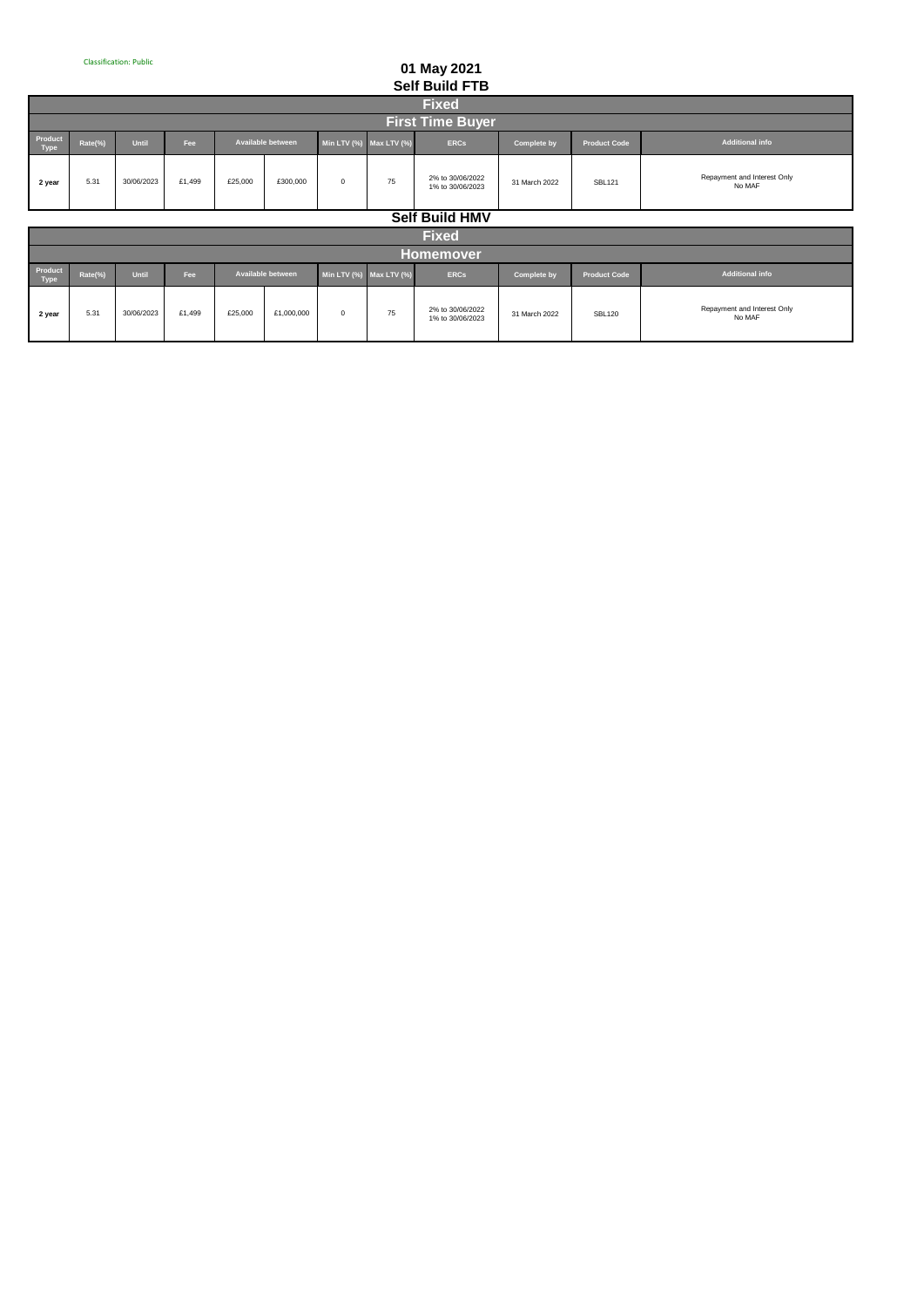г

# **01 May 2021 Self Build FTB**

|                                                                                                                                                                                  | vuun vuun                                                                                                                                                                                  |  |  |  |  |  |  |  |  |  |  |  |  |  |  |
|----------------------------------------------------------------------------------------------------------------------------------------------------------------------------------|--------------------------------------------------------------------------------------------------------------------------------------------------------------------------------------------|--|--|--|--|--|--|--|--|--|--|--|--|--|--|
|                                                                                                                                                                                  | <b>Fixed</b>                                                                                                                                                                               |  |  |  |  |  |  |  |  |  |  |  |  |  |  |
|                                                                                                                                                                                  | <b>First Time Buyer</b>                                                                                                                                                                    |  |  |  |  |  |  |  |  |  |  |  |  |  |  |
| Product<br>Type<br><b>Additional info</b><br>Rate(%)<br><b>Available between</b><br>Until<br>Min LTV (%) Max LTV (%)<br><b>ERCs</b><br><b>Product Code</b><br>Fee<br>Complete by |                                                                                                                                                                                            |  |  |  |  |  |  |  |  |  |  |  |  |  |  |
| 2 year                                                                                                                                                                           | Repayment and Interest Only<br>2% to 30/06/2022<br>£300,000<br>£1,499<br>75<br>30/06/2023<br>£25,000<br>5.31<br>$^{\circ}$<br><b>SBL121</b><br>31 March 2022<br>No MAF<br>1% to 30/06/2023 |  |  |  |  |  |  |  |  |  |  |  |  |  |  |
|                                                                                                                                                                                  | <b>Self Build HMV</b>                                                                                                                                                                      |  |  |  |  |  |  |  |  |  |  |  |  |  |  |

**Fixed**

<u> 1989 - Johann Barnett, mars et al. 1989 - Anna ann an t-</u>

۰

|                        | <b>INGLI</b>     |            |        |                          |            |                               |    |                                      |               |                     |                                       |  |  |  |
|------------------------|------------------|------------|--------|--------------------------|------------|-------------------------------|----|--------------------------------------|---------------|---------------------|---------------------------------------|--|--|--|
|                        | <b>Homemover</b> |            |        |                          |            |                               |    |                                      |               |                     |                                       |  |  |  |
| Product<br><b>Type</b> | Rate(%)          | Until      | Fee    | <b>Available between</b> |            | Min LTV $(\%)$ Max LTV $(\%)$ |    | <b>ERCs</b>                          | Complete by   | <b>Product Code</b> | <b>Additional info</b>                |  |  |  |
| 2 year                 | 5.31             | 30/06/2023 | £1.499 | £25,000                  | £1,000,000 | 0                             | 75 | 2% to 30/06/2022<br>1% to 30/06/2023 | 31 March 2022 | <b>SBL120</b>       | Repayment and Interest Only<br>No MAF |  |  |  |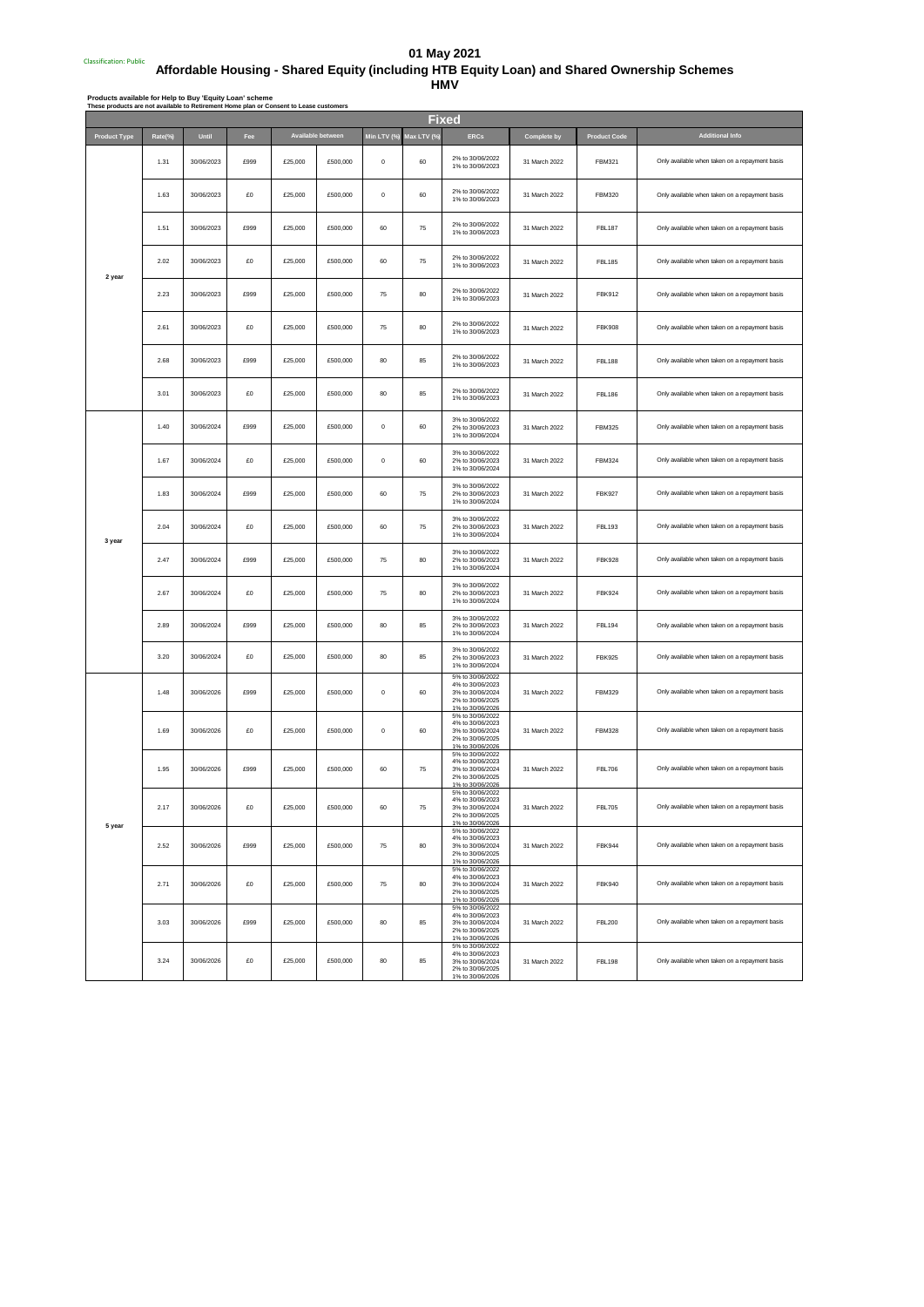### Classification: Public # **01 May 2021 Affordable Housing - Shared Equity (including HTB Equity Loan) and Shared Ownership Schemes HMV**

Products available for Help to Buy 'Equity Loan' scheme<br>These products are not available to Retirement Home plan or Consent to Lease customers

| <b>Fixed</b>        |         |            |      |         |                   |             |            |                                                                                                  |               |                     |                                                |  |
|---------------------|---------|------------|------|---------|-------------------|-------------|------------|--------------------------------------------------------------------------------------------------|---------------|---------------------|------------------------------------------------|--|
| <b>Product Type</b> | Rate(%) | Until      | Fee  |         | Available between | Min LTV (%) | Max LTV (% | <b>ERCs</b>                                                                                      | Complete by   | <b>Product Code</b> | <b>Additional Info</b>                         |  |
|                     | 1.31    | 30/06/2023 | £999 | £25,000 | £500,000          | $\bf{0}$    | 60         | 2% to 30/06/2022<br>1% to 30/06/2023                                                             | 31 March 2022 | FBM321              | Only available when taken on a repayment basis |  |
|                     | 1.63    | 30/06/2023 | £O   | £25,000 | £500,000          | $\bf{0}$    | 60         | 2% to 30/06/2022<br>1% to 30/06/2023                                                             | 31 March 2022 | <b>FBM320</b>       | Only available when taken on a repayment basis |  |
|                     | 1.51    | 30/06/2023 | £999 | £25,000 | £500,000          | 60          | 75         | 2% to 30/06/2022<br>1% to 30/06/2023                                                             | 31 March 2022 | <b>FBL187</b>       | Only available when taken on a repayment basis |  |
| 2 year              | 2.02    | 30/06/2023 | £O   | £25,000 | £500,000          | 60          | 75         | 2% to 30/06/2022<br>1% to 30/06/2023                                                             | 31 March 2022 | <b>FBL185</b>       | Only available when taken on a repayment basis |  |
|                     | 2.23    | 30/06/2023 | £999 | £25,000 | £500,000          | 75          | 80         | 2% to 30/06/2022<br>1% to 30/06/2023                                                             | 31 March 2022 | <b>FBK912</b>       | Only available when taken on a repayment basis |  |
|                     | 2.61    | 30/06/2023 | £O   | £25,000 | £500,000          | 75          | 80         | 2% to 30/06/2022<br>1% to 30/06/2023                                                             | 31 March 2022 | <b>FBK908</b>       | Only available when taken on a repayment basis |  |
|                     | 2.68    | 30/06/2023 | £999 | £25,000 | £500,000          | 80          | 85         | 2% to 30/06/2022<br>1% to 30/06/2023                                                             | 31 March 2022 | <b>FBL188</b>       | Only available when taken on a repayment basis |  |
|                     | 3.01    | 30/06/2023 | £O   | £25,000 | £500,000          | 80          | 85         | 2% to 30/06/2022<br>1% to 30/06/2023                                                             | 31 March 2022 | <b>FBL186</b>       | Only available when taken on a repayment basis |  |
|                     | 1.40    | 30/06/2024 | £999 | £25,000 | £500,000          | $\bf{0}$    | 60         | 3% to 30/06/2022<br>2% to 30/06/2023<br>1% to 30/06/2024                                         | 31 March 2022 | <b>FBM325</b>       | Only available when taken on a repayment basis |  |
|                     | 1.67    | 30/06/2024 | £0   | £25,000 | £500,000          | $\bf{0}$    | 60         | 3% to 30/06/2022<br>2% to 30/06/2023<br>1% to 30/06/2024                                         | 31 March 2022 | <b>FBM324</b>       | Only available when taken on a repayment basis |  |
|                     | 1.83    | 30/06/2024 | £999 | £25,000 | £500,000          | 60          | 75         | 3% to 30/06/2022<br>2% to 30/06/2023<br>1% to 30/06/2024                                         | 31 March 2022 | <b>FBK927</b>       | Only available when taken on a repayment basis |  |
| 3 year              | 2.04    | 30/06/2024 | £O   | £25,000 | £500,000          | 60          | 75         | 3% to 30/06/2022<br>2% to 30/06/2023<br>1% to 30/06/2024                                         | 31 March 2022 | FBL193              | Only available when taken on a repayment basis |  |
|                     | 2.47    | 30/06/2024 | £999 | £25,000 | £500,000          | 75          | 80         | 3% to 30/06/2022<br>2% to 30/06/2023<br>1% to 30/06/2024                                         | 31 March 2022 | <b>FBK928</b>       | Only available when taken on a repayment basis |  |
|                     | 2.67    | 30/06/2024 | £0   | £25,000 | £500,000          | 75          | 80         | 3% to 30/06/2022<br>2% to 30/06/2023<br>1% to 30/06/2024                                         | 31 March 2022 | <b>FBK924</b>       | Only available when taken on a repayment basis |  |
|                     | 2.89    | 30/06/2024 | £999 | £25,000 | £500,000          | 80          | 85         | 3% to 30/06/2022<br>2% to 30/06/2023<br>1% to 30/06/2024                                         | 31 March 2022 | <b>FBL194</b>       | Only available when taken on a repayment basis |  |
|                     | 3.20    | 30/06/2024 | £O   | £25,000 | £500,000          | 80          | 85         | 3% to 30/06/2022<br>2% to 30/06/2023<br>1% to 30/06/2024                                         | 31 March 2022 | <b>FBK925</b>       | Only available when taken on a repayment basis |  |
|                     | 1.48    | 30/06/2026 | £999 | £25,000 | £500,000          | $\pmb{0}$   | 60         | 5% to 30/06/2022<br>4% to 30/06/2023<br>3% to 30/06/2024<br>2% to 30/06/2025<br>1% to 30/06/2026 | 31 March 2022 | <b>FBM329</b>       | Only available when taken on a repayment basis |  |
|                     | 1.69    | 30/06/2026 | £0   | £25,000 | £500,000          | $\bf{0}$    | 60         | 5% to 30/06/2022<br>4% to 30/06/2023<br>3% to 30/06/2024<br>2% to 30/06/2025<br>1% to 30/06/2026 | 31 March 2022 | <b>FBM328</b>       | Only available when taken on a repayment basis |  |
|                     | 1.95    | 30/06/2026 | £999 | £25,000 | £500,000          | 60          | 75         | 5% to 30/06/2022<br>4% to 30/06/2023<br>3% to 30/06/2024<br>2% to 30/06/2025<br>1% to 30/06/2026 | 31 March 2022 | <b>FBL706</b>       | Only available when taken on a repayment basis |  |
| 5 year              | 2.17    | 30/06/2026 | £0   | £25,000 | £500,000          | $60\,$      | 75         | 5% to 30/06/2022<br>4% to 30/06/2023<br>3% to 30/06/2024<br>2% to 30/06/2025<br>1% to 30/06/2026 | 31 March 2022 | <b>FBL705</b>       | Only available when taken on a repayment basis |  |
|                     | 2.52    | 30/06/2026 | £999 | £25,000 | £500,000          | 75          | 80         | 5% to 30/06/2022<br>4% to 30/06/2023<br>3% to 30/06/2024<br>2% to 30/06/2025<br>1% to 30/06/2026 | 31 March 2022 | <b>FBK944</b>       | Only available when taken on a repayment basis |  |
|                     | 2.71    | 30/06/2026 | £0   | £25,000 | £500,000          | 75          | 80         | 5% to 30/06/2022<br>4% to 30/06/2023<br>3% to 30/06/2024<br>2% to 30/06/2025<br>1% to 30/06/2026 | 31 March 2022 | <b>FBK940</b>       | Only available when taken on a repayment basis |  |
|                     | 3.03    | 30/06/2026 | £999 | £25,000 | £500,000          | 80          | 85         | 5% to 30/06/2022<br>4% to 30/06/2023<br>3% to 30/06/2024<br>2% to 30/06/2025<br>1% to 30/06/2026 | 31 March 2022 | <b>FBL200</b>       | Only available when taken on a repayment basis |  |
|                     | 3.24    | 30/06/2026 | £0   | £25,000 | £500,000          | 80          | 85         | 5% to 30/06/2022<br>4% to 30/06/2023<br>3% to 30/06/2024<br>2% to 30/06/2025<br>1% to 30/06/2026 | 31 March 2022 | <b>FBL198</b>       | Only available when taken on a repayment basis |  |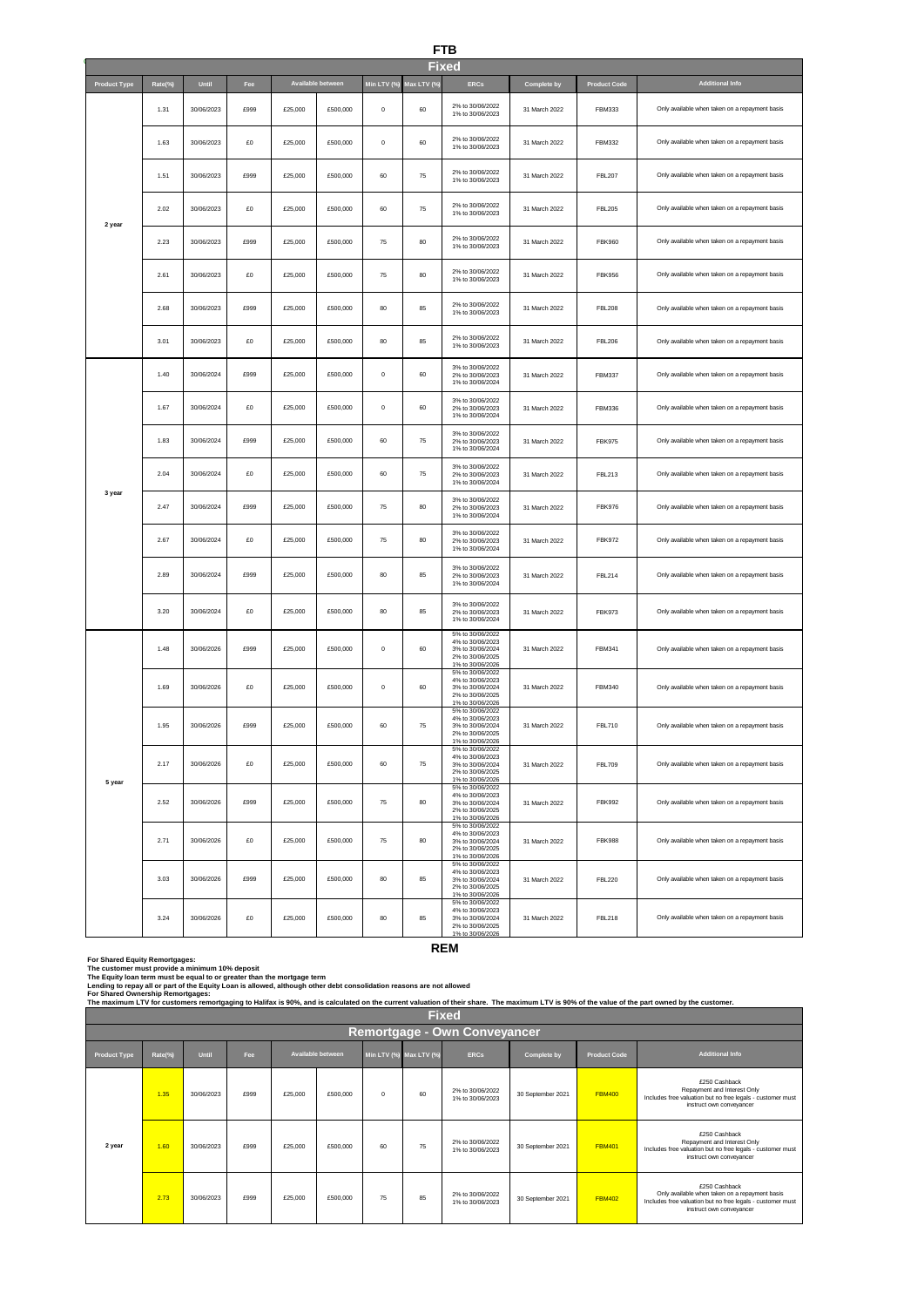# **FTB**

|                     | <b>Fixed</b> |            |      |         |                   |             |             |                                                                                                  |               |               |                                                |  |  |
|---------------------|--------------|------------|------|---------|-------------------|-------------|-------------|--------------------------------------------------------------------------------------------------|---------------|---------------|------------------------------------------------|--|--|
| <b>Product Type</b> | Rate(%)      | Until      | Fee  |         | Available between | Min LTV (%) | Max LTV (%) | <b>ERCs</b>                                                                                      | Complete by   | Product Code  | <b>Additional Info</b>                         |  |  |
|                     | 1.31         | 30/06/2023 | £999 | £25,000 | £500,000          | $\pmb{0}$   | 60          | 2% to 30/06/2022<br>1% to 30/06/2023                                                             | 31 March 2022 | FBM333        | Only available when taken on a repayment basis |  |  |
|                     | 1.63         | 30/06/2023 | £O   | £25,000 | £500,000          | $\mathbf 0$ | 60          | 2% to 30/06/2022<br>1% to 30/06/2023                                                             | 31 March 2022 | FBM332        | Only available when taken on a repayment basis |  |  |
|                     | 1.51         | 30/06/2023 | £999 | £25,000 | £500,000          | 60          | 75          | 2% to 30/06/2022<br>1% to 30/06/2023                                                             | 31 March 2022 | <b>FBL207</b> | Only available when taken on a repayment basis |  |  |
|                     | 2.02         | 30/06/2023 | £0   | £25,000 | £500,000          | 60          | 75          | 2% to 30/06/2022<br>1% to 30/06/2023                                                             | 31 March 2022 | <b>FBL205</b> | Only available when taken on a repayment basis |  |  |
| 2 year              | 2.23         | 30/06/2023 | £999 | £25,000 | £500,000          | 75          | 80          | 2% to 30/06/2022<br>1% to 30/06/2023                                                             | 31 March 2022 | <b>FBK960</b> | Only available when taken on a repayment basis |  |  |
|                     | 2.61         | 30/06/2023 | £0   | £25,000 | £500,000          | 75          | 80          | 2% to 30/06/2022<br>1% to 30/06/2023                                                             | 31 March 2022 | <b>FBK956</b> | Only available when taken on a repayment basis |  |  |
|                     | 2.68         | 30/06/2023 | £999 | £25,000 | £500,000          | 80          | 85          | 2% to 30/06/2022<br>1% to 30/06/2023                                                             | 31 March 2022 | <b>FBL208</b> | Only available when taken on a repayment basis |  |  |
|                     | 3.01         | 30/06/2023 | £O   | £25,000 | £500,000          | 80          | 85          | 2% to 30/06/2022<br>1% to 30/06/2023                                                             | 31 March 2022 | <b>FBL206</b> | Only available when taken on a repayment basis |  |  |
|                     | 1.40         | 30/06/2024 | £999 | £25,000 | £500,000          | $\pmb{0}$   | 60          | 3% to 30/06/2022<br>2% to 30/06/2023<br>1% to 30/06/2024                                         | 31 March 2022 | <b>FBM337</b> | Only available when taken on a repayment basis |  |  |
|                     | 1.67         | 30/06/2024 | £O   | £25,000 | £500,000          | $\mathbf 0$ | 60          | 3% to 30/06/2022<br>2% to 30/06/2023<br>1% to 30/06/2024                                         | 31 March 2022 | FBM336        | Only available when taken on a repayment basis |  |  |
|                     | 1.83         | 30/06/2024 | £999 | £25,000 | £500,000          | 60          | 75          | 3% to 30/06/2022<br>2% to 30/06/2023<br>1% to 30/06/2024                                         | 31 March 2022 | <b>FBK975</b> | Only available when taken on a repayment basis |  |  |
| 3 year              | 2.04         | 30/06/2024 | £0   | £25,000 | £500,000          | 60          | 75          | 3% to 30/06/2022<br>2% to 30/06/2023<br>1% to 30/06/2024                                         | 31 March 2022 | <b>FBL213</b> | Only available when taken on a repayment basis |  |  |
|                     | 2.47         | 30/06/2024 | £999 | £25,000 | £500,000          | 75          | 80          | 3% to 30/06/2022<br>2% to 30/06/2023<br>1% to 30/06/2024                                         | 31 March 2022 | <b>FBK976</b> | Only available when taken on a repayment basis |  |  |
|                     | 2.67         | 30/06/2024 | £0   | £25,000 | £500,000          | 75          | 80          | 3% to 30/06/2022<br>2% to 30/06/2023<br>1% to 30/06/2024                                         | 31 March 2022 | <b>FBK972</b> | Only available when taken on a repayment basis |  |  |
|                     | 2.89         | 30/06/2024 | £999 | £25,000 | £500,000          | 80          | 85          | 3% to 30/06/2022<br>2% to 30/06/2023<br>1% to 30/06/2024                                         | 31 March 2022 | <b>FBL214</b> | Only available when taken on a repayment basis |  |  |
|                     | 3.20         | 30/06/2024 | £O   | £25,000 | £500,000          | 80          | 85          | 3% to 30/06/2022<br>2% to 30/06/2023<br>1% to 30/06/2024                                         | 31 March 2022 | <b>FBK973</b> | Only available when taken on a repayment basis |  |  |
|                     | 1.48         | 30/06/2026 | £999 | £25,000 | £500,000          | $\bf{0}$    | 60          | 5% to 30/06/2022<br>4% to 30/06/2023<br>3% to 30/06/2024<br>2% to 30/06/2025<br>1% to 30/06/2026 | 31 March 2022 | FBM341        | Only available when taken on a repayment basis |  |  |
|                     | 1.69         | 30/06/2026 | £O   | £25,000 | £500,000          | $\mathbf 0$ | 60          | 5% to 30/06/2022<br>4% to 30/06/2023<br>3% to 30/06/2024<br>2% to 30/06/2025<br>1% to 30/06/2026 | 31 March 2022 | FBM340        | Only available when taken on a repayment basis |  |  |
|                     | 1.95         | 30/06/2026 | £999 | £25,000 | £500,000          | 60          | 75          | 5% to 30/06/2022<br>4% to 30/06/2023<br>3% to 30/06/2024<br>2% to 30/06/2025<br>1% to 30/06/2026 | 31 March 2022 | <b>FBL710</b> | Only available when taken on a repayment basis |  |  |
|                     | 2.17         | 30/06/2026 | £0   | £25,000 | £500,000          | 60          | 75          | 5% to 30/06/2022<br>4% to 30/06/2023<br>3% to 30/06/2024<br>2% to 30/06/2025<br>1% to 30/06/2026 | 31 March 2022 | <b>FBL709</b> | Only available when taken on a repayment basis |  |  |
| 5 year              | 2.52         | 30/06/2026 | £999 | £25,000 | £500,000          | 75          | 80          | 5% to 30/06/2022<br>4% to 30/06/2023<br>3% to 30/06/2024<br>2% to 30/06/2025<br>1% to 30/06/2026 | 31 March 2022 | <b>FBK992</b> | Only available when taken on a repayment basis |  |  |
|                     | 2.71         | 30/06/2026 | £0   | £25,000 | £500,000          | 75          | 80          | 5% to 30/06/2022<br>4% to 30/06/2023<br>3% to 30/06/2024<br>2% to 30/06/2025<br>1% to 30/06/2026 | 31 March 2022 | <b>FBK988</b> | Only available when taken on a repayment basis |  |  |
|                     | 3.03         | 30/06/2026 | £999 | £25,000 | £500,000          | 80          | 85          | 5% to 30/06/2022<br>4% to 30/06/2023<br>3% to 30/06/2024<br>2% to 30/06/2025<br>1% to 30/06/2026 | 31 March 2022 | <b>FBL220</b> | Only available when taken on a repayment basis |  |  |
|                     | 3.24         | 30/06/2026 | £0   | £25,000 | £500,000          | 80          | 85          | 5% to 30/06/2022<br>4% to 30/06/2023<br>3% to 30/06/2024<br>2% to 30/06/2025<br>1% to 30/06/2026 | 31 March 2022 | <b>FBL218</b> | Only available when taken on a repayment basis |  |  |

**REM**

ä

**For Shared Equity Remortgages:**

The customer must provide a minimum 10% deposit<br>The Equity Ioan term must be equal to or greater than the mortgage term

**Lending to repay all or part of the Equity Loan is allowed, although other debt consolidation reasons are not allowed** 

For Shared Ownership Remortgages:<br>The maximum LTV for customers remortgaging to Halifax is 90%, and is calculated on the current valuation of their share. The maximum LTV is 90% of the value of the part owned by the custom

|                     | <b>Fixed</b>                 |            |      |         |                   |          |                         |                                      |                    |                     |                                                                                                                                                           |  |  |  |  |
|---------------------|------------------------------|------------|------|---------|-------------------|----------|-------------------------|--------------------------------------|--------------------|---------------------|-----------------------------------------------------------------------------------------------------------------------------------------------------------|--|--|--|--|
|                     | Remortgage - Own Conveyancer |            |      |         |                   |          |                         |                                      |                    |                     |                                                                                                                                                           |  |  |  |  |
| <b>Product Type</b> | Rate(%)                      | Until      | Fee  |         | Available between |          | Min LTV (%) Max LTV (%) | <b>ERCs</b>                          | <b>Complete by</b> | <b>Product Code</b> | <b>Additional Info</b>                                                                                                                                    |  |  |  |  |
|                     | 1.35                         | 30/06/2023 | £999 | £25,000 | £500,000          | $\Omega$ | 60                      | 2% to 30/06/2022<br>1% to 30/06/2023 | 30 September 2021  | <b>FBM400</b>       | £250 Cashback<br>Repayment and Interest Only<br>Includes free valuation but no free legals - customer must<br>instruct own conveyancer                    |  |  |  |  |
| 2 year              | 1.60                         | 30/06/2023 | £999 | £25,000 | £500,000          | 60       | 75                      | 2% to 30/06/2022<br>1% to 30/06/2023 | 30 September 2021  | <b>FBM401</b>       | £250 Cashback<br>Repayment and Interest Only<br>Includes free valuation but no free legals - customer must<br>instruct own conveyancer                    |  |  |  |  |
|                     | 2.73                         | 30/06/2023 | £999 | £25,000 | £500,000          | 75       | 85                      | 2% to 30/06/2022<br>1% to 30/06/2023 | 30 September 2021  | <b>FBM402</b>       | £250 Cashback<br>Only available when taken on a repayment basis<br>Includes free valuation but no free legals - customer must<br>instruct own conveyancer |  |  |  |  |